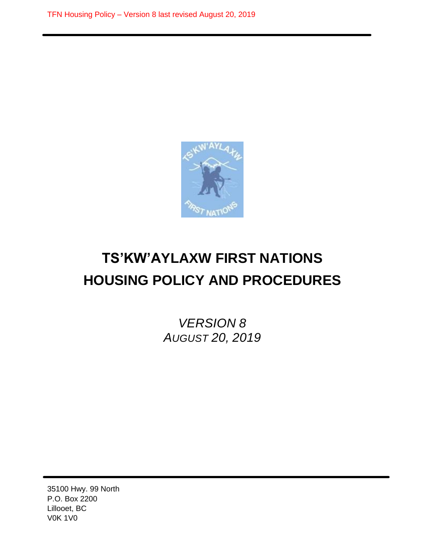

# **TS'KW'AYLAXW FIRST NATIONS HOUSING POLICY AND PROCEDURES**

*VERSION 8 AUGUST 20, 2019*

35100 Hwy. 99 North P.O. Box 2200 Lillooet, BC V0K 1V0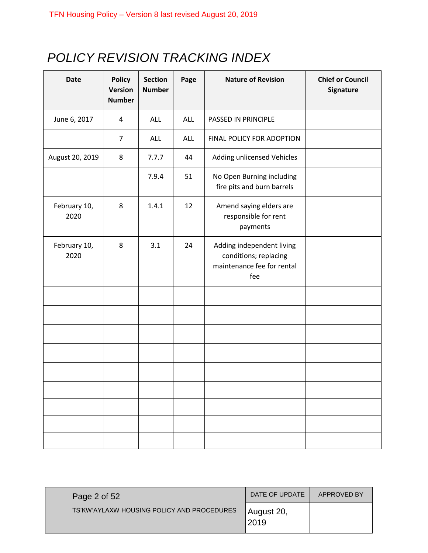# *POLICY REVISION TRACKING INDEX*

| <b>Date</b>          | <b>Policy</b><br><b>Version</b><br><b>Number</b> | <b>Section</b><br><b>Number</b> | Page | <b>Nature of Revision</b>                                                               | <b>Chief or Council</b><br>Signature |
|----------------------|--------------------------------------------------|---------------------------------|------|-----------------------------------------------------------------------------------------|--------------------------------------|
| June 6, 2017         | 4                                                | ALL                             | ALL  | PASSED IN PRINCIPLE                                                                     |                                      |
|                      | $\overline{7}$                                   | ALL                             | ALL  | FINAL POLICY FOR ADOPTION                                                               |                                      |
| August 20, 2019      | 8                                                | 7.7.7                           | 44   | Adding unlicensed Vehicles                                                              |                                      |
|                      |                                                  | 7.9.4                           | 51   | No Open Burning including<br>fire pits and burn barrels                                 |                                      |
| February 10,<br>2020 | 8                                                | 1.4.1                           | 12   | Amend saying elders are<br>responsible for rent<br>payments                             |                                      |
| February 10,<br>2020 | 8                                                | 3.1                             | 24   | Adding independent living<br>conditions; replacing<br>maintenance fee for rental<br>fee |                                      |
|                      |                                                  |                                 |      |                                                                                         |                                      |
|                      |                                                  |                                 |      |                                                                                         |                                      |
|                      |                                                  |                                 |      |                                                                                         |                                      |
|                      |                                                  |                                 |      |                                                                                         |                                      |
|                      |                                                  |                                 |      |                                                                                         |                                      |
|                      |                                                  |                                 |      |                                                                                         |                                      |
|                      |                                                  |                                 |      |                                                                                         |                                      |
|                      |                                                  |                                 |      |                                                                                         |                                      |
|                      |                                                  |                                 |      |                                                                                         |                                      |

| Page 2 of 52                               | DATE OF UPDATE     | APPROVED BY |
|--------------------------------------------|--------------------|-------------|
| TS'KW'AYLAXW HOUSING POLICY AND PROCEDURES | August 20,<br>2019 |             |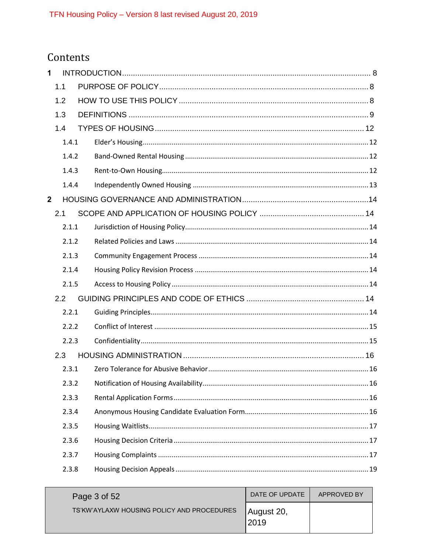# Contents

| 1              |       |  |  |
|----------------|-------|--|--|
|                | 1.1   |  |  |
|                | 1.2   |  |  |
|                | 1.3   |  |  |
|                | 1.4   |  |  |
|                | 1.4.1 |  |  |
|                | 1.4.2 |  |  |
|                | 1.4.3 |  |  |
|                | 1.4.4 |  |  |
| $\overline{2}$ |       |  |  |
|                | 2.1   |  |  |
|                | 2.1.1 |  |  |
|                | 2.1.2 |  |  |
|                | 2.1.3 |  |  |
|                | 2.1.4 |  |  |
|                | 2.1.5 |  |  |
|                | 2.2   |  |  |
|                | 2.2.1 |  |  |
|                | 2.2.2 |  |  |
|                | 2.2.3 |  |  |
|                | 2.3   |  |  |
|                | 2.3.1 |  |  |
|                | 2.3.2 |  |  |
|                | 2.3.3 |  |  |
|                | 2.3.4 |  |  |
|                | 2.3.5 |  |  |
|                | 2.3.6 |  |  |
|                | 2.3.7 |  |  |
|                | 2.3.8 |  |  |

| Page 3 of 52                               | DATE OF UPDATE      | APPROVED BY |
|--------------------------------------------|---------------------|-------------|
| TS'KW'AYLAXW HOUSING POLICY AND PROCEDURES | August 20,<br>12019 |             |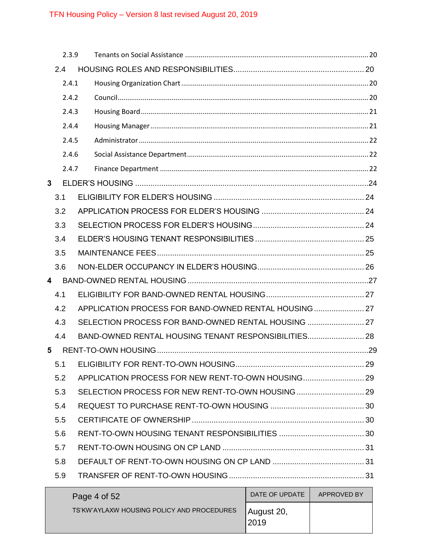|              | 2.3.9 |                                                      |  |
|--------------|-------|------------------------------------------------------|--|
|              | 2.4   |                                                      |  |
|              | 2.4.1 |                                                      |  |
|              | 2.4.2 |                                                      |  |
|              | 2.4.3 |                                                      |  |
|              | 2.4.4 |                                                      |  |
|              | 2.4.5 |                                                      |  |
|              | 2.4.6 |                                                      |  |
|              | 2.4.7 |                                                      |  |
| $\mathbf{3}$ |       |                                                      |  |
|              | 3.1   |                                                      |  |
|              | 3.2   |                                                      |  |
|              | 3.3   |                                                      |  |
|              | 3.4   |                                                      |  |
|              | 3.5   |                                                      |  |
|              | 3.6   |                                                      |  |
| 4            |       |                                                      |  |
| 4.1          |       |                                                      |  |
|              | 4.2   | APPLICATION PROCESS FOR BAND-OWNED RENTAL HOUSING 27 |  |
|              | 4.3   | SELECTION PROCESS FOR BAND-OWNED RENTAL HOUSING  27  |  |
|              | 4.4   | BAND-OWNED RENTAL HOUSING TENANT RESPONSIBILITIES 28 |  |
| 5            |       |                                                      |  |
|              | 5.1   |                                                      |  |
|              | 5.2   | APPLICATION PROCESS FOR NEW RENT-TO-OWN HOUSING 29   |  |
|              | 5.3   | SELECTION PROCESS FOR NEW RENT-TO-OWN HOUSING  29    |  |
|              | 5.4   |                                                      |  |
|              | 5.5   |                                                      |  |
|              | 5.6   |                                                      |  |
|              | 5.7   |                                                      |  |
|              | 5.8   |                                                      |  |
|              | 5.9   |                                                      |  |

| Page 4 of 52                               | DATE OF UPDATE      | APPROVED BY |  |
|--------------------------------------------|---------------------|-------------|--|
| TS'KW'AYLAXW HOUSING POLICY AND PROCEDURES | August 20,<br>12019 |             |  |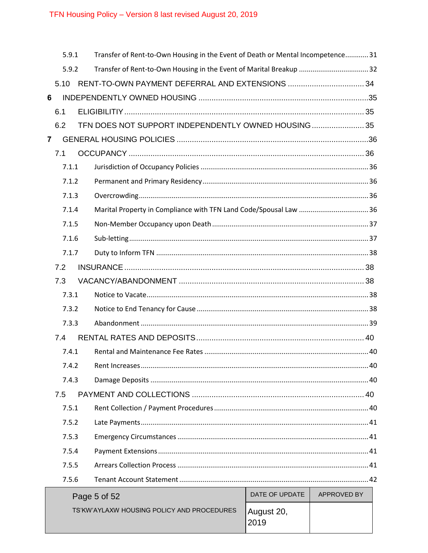|                | 5.9.1 |                                                                              | Transfer of Rent-to-Own Housing in the Event of Death or Mental Incompetence 31 |  |  |  |
|----------------|-------|------------------------------------------------------------------------------|---------------------------------------------------------------------------------|--|--|--|
|                |       | Transfer of Rent-to-Own Housing in the Event of Marital Breakup  32<br>5.9.2 |                                                                                 |  |  |  |
|                | 5.10  |                                                                              |                                                                                 |  |  |  |
| 6              |       |                                                                              |                                                                                 |  |  |  |
|                | 6.1   |                                                                              |                                                                                 |  |  |  |
|                | 6.2   |                                                                              | TFN DOES NOT SUPPORT INDEPENDENTLY OWNED HOUSING 35                             |  |  |  |
| $\overline{7}$ |       |                                                                              |                                                                                 |  |  |  |
|                | 7.1   |                                                                              |                                                                                 |  |  |  |
|                | 7.1.1 |                                                                              |                                                                                 |  |  |  |
|                | 7.1.2 |                                                                              |                                                                                 |  |  |  |
|                | 7.1.3 |                                                                              |                                                                                 |  |  |  |
|                | 7.1.4 |                                                                              |                                                                                 |  |  |  |
|                | 7.1.5 |                                                                              |                                                                                 |  |  |  |
|                | 7.1.6 |                                                                              |                                                                                 |  |  |  |
|                | 7.1.7 |                                                                              |                                                                                 |  |  |  |
|                | 7.2   |                                                                              |                                                                                 |  |  |  |
|                | 7.3   |                                                                              |                                                                                 |  |  |  |
|                | 7.3.1 |                                                                              |                                                                                 |  |  |  |
|                | 7.3.2 |                                                                              |                                                                                 |  |  |  |
|                | 7.3.3 |                                                                              |                                                                                 |  |  |  |
|                | 7.4   |                                                                              |                                                                                 |  |  |  |
|                | 7.4.1 |                                                                              |                                                                                 |  |  |  |
|                |       |                                                                              |                                                                                 |  |  |  |
|                | 7.4.3 |                                                                              |                                                                                 |  |  |  |
|                | 7.5   |                                                                              |                                                                                 |  |  |  |
|                | 7.5.1 |                                                                              |                                                                                 |  |  |  |
|                | 7.5.2 |                                                                              |                                                                                 |  |  |  |
|                | 7.5.3 |                                                                              |                                                                                 |  |  |  |
|                | 7.5.4 |                                                                              |                                                                                 |  |  |  |
|                | 7.5.5 |                                                                              |                                                                                 |  |  |  |
|                | 7.5.6 |                                                                              |                                                                                 |  |  |  |
|                |       | DATE OF UPDATE<br>APPROVED BY<br>Page 5 of 52                                |                                                                                 |  |  |  |

| Page 5 of $52$                             | DAIL OF UPDAIL     | APPROVED BY |
|--------------------------------------------|--------------------|-------------|
| TS'KW'AYLAXW HOUSING POLICY AND PROCEDURES | August 20,<br>2019 |             |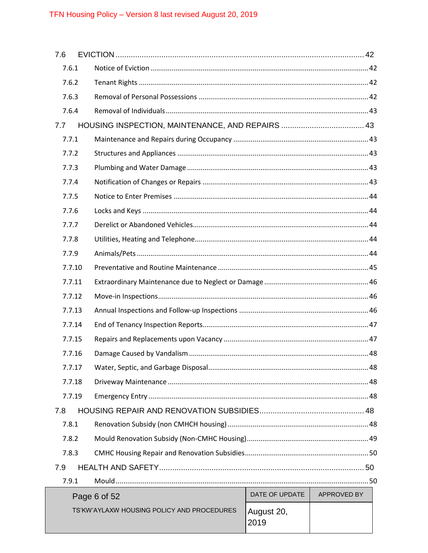| 7.6   |        |                                                     |  |
|-------|--------|-----------------------------------------------------|--|
| 7.6.1 |        |                                                     |  |
| 7.6.2 |        |                                                     |  |
| 7.6.3 |        |                                                     |  |
| 7.6.4 |        |                                                     |  |
| 7.7   |        |                                                     |  |
| 7.7.1 |        |                                                     |  |
| 7.7.2 |        |                                                     |  |
| 7.7.3 |        |                                                     |  |
| 7.7.4 |        |                                                     |  |
| 7.7.5 |        |                                                     |  |
| 7.7.6 |        |                                                     |  |
| 7.7.7 |        |                                                     |  |
| 7.7.8 |        |                                                     |  |
| 7.7.9 |        |                                                     |  |
|       | 7.7.10 |                                                     |  |
|       | 7.7.11 |                                                     |  |
|       | 7.7.12 |                                                     |  |
|       | 7.7.13 |                                                     |  |
|       | 7.7.14 |                                                     |  |
|       | 7.7.15 |                                                     |  |
|       | 7.7.16 |                                                     |  |
|       | 7.7.17 |                                                     |  |
|       | 7.7.18 |                                                     |  |
|       | 7.7.19 |                                                     |  |
| 7.8   |        |                                                     |  |
| 7.8.1 |        |                                                     |  |
| 7.8.2 |        |                                                     |  |
| 7.8.3 |        |                                                     |  |
| 7.9   |        |                                                     |  |
| 7.9.1 |        |                                                     |  |
|       |        | $\overline{\phantom{a}}$ ONTE OF HEDATE APPROVED BY |  |

| Page 6 of 52                               | DATE OF UPDATE     | APPROVED BY |
|--------------------------------------------|--------------------|-------------|
| TS'KW'AYLAXW HOUSING POLICY AND PROCEDURES | August 20,<br>2019 |             |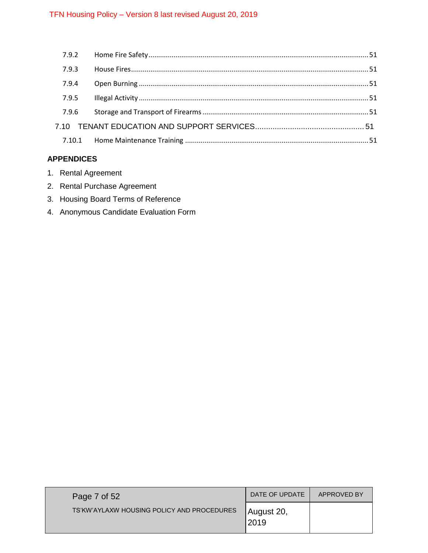| 7.9.3 |  |
|-------|--|
| 7.9.4 |  |
| 7.9.5 |  |
| 7.9.6 |  |
|       |  |
|       |  |
|       |  |

# **APPENDICES**

- 1. Rental Agreement
- 2. Rental Purchase Agreement
- 3. Housing Board Terms of Reference
- 4. Anonymous Candidate Evaluation Form

| Page 7 of $521$                            | DATE OF UPDATE     | APPROVED BY |
|--------------------------------------------|--------------------|-------------|
| TS'KW'AYLAXW HOUSING POLICY AND PROCEDURES | August 20,<br>2019 |             |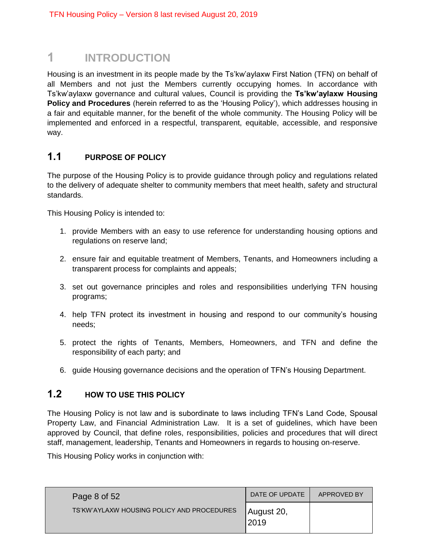# <span id="page-7-0"></span>**1 INTRODUCTION**

Housing is an investment in its people made by the Ts'kw'aylaxw First Nation (TFN) on behalf of all Members and not just the Members currently occupying homes. In accordance with Ts'kw'aylaxw governance and cultural values, Council is providing the **Ts'kw'aylaxw Housing Policy and Procedures** (herein referred to as the 'Housing Policy'), which addresses housing in a fair and equitable manner, for the benefit of the whole community. The Housing Policy will be implemented and enforced in a respectful, transparent, equitable, accessible, and responsive way.

# <span id="page-7-1"></span>**1.1 PURPOSE OF POLICY**

The purpose of the Housing Policy is to provide guidance through policy and regulations related to the delivery of adequate shelter to community members that meet health, safety and structural standards.

This Housing Policy is intended to:

- 1. provide Members with an easy to use reference for understanding housing options and regulations on reserve land;
- 2. ensure fair and equitable treatment of Members, Tenants, and Homeowners including a transparent process for complaints and appeals;
- 3. set out governance principles and roles and responsibilities underlying TFN housing programs;
- 4. help TFN protect its investment in housing and respond to our community's housing needs;
- 5. protect the rights of Tenants, Members, Homeowners, and TFN and define the responsibility of each party; and
- 6. guide Housing governance decisions and the operation of TFN's Housing Department.

# <span id="page-7-2"></span>**1.2 HOW TO USE THIS POLICY**

The Housing Policy is not law and is subordinate to laws including TFN's Land Code, Spousal Property Law, and Financial Administration Law. It is a set of guidelines, which have been approved by Council, that define roles, responsibilities, policies and procedures that will direct staff, management, leadership, Tenants and Homeowners in regards to housing on-reserve.

This Housing Policy works in conjunction with:

| Page 8 of 52                               | DATE OF UPDATE     | APPROVED BY |
|--------------------------------------------|--------------------|-------------|
| TS'KW'AYLAXW HOUSING POLICY AND PROCEDURES | August 20,<br>2019 |             |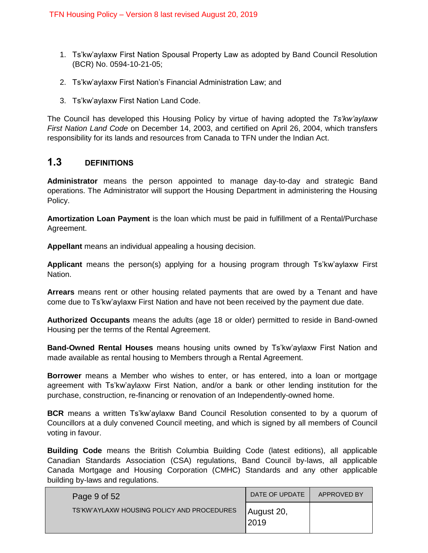- 1. Ts'kw'aylaxw First Nation Spousal Property Law as adopted by Band Council Resolution (BCR) No. 0594-10-21-05;
- 2. Ts'kw'aylaxw First Nation's Financial Administration Law; and
- 3. Ts'kw'aylaxw First Nation Land Code.

The Council has developed this Housing Policy by virtue of having adopted the *Ts'kw'aylaxw First Nation Land Code* on December 14, 2003, and certified on April 26, 2004, which transfers responsibility for its lands and resources from Canada to TFN under the Indian Act.

# <span id="page-8-0"></span>**1.3 DEFINITIONS**

**Administrator** means the person appointed to manage day-to-day and strategic Band operations. The Administrator will support the Housing Department in administering the Housing Policy.

**Amortization Loan Payment** is the loan which must be paid in fulfillment of a Rental/Purchase Agreement.

**Appellant** means an individual appealing a housing decision.

**Applicant** means the person(s) applying for a housing program through Ts'kw'aylaxw First Nation.

**Arrears** means rent or other housing related payments that are owed by a Tenant and have come due to Ts'kw'aylaxw First Nation and have not been received by the payment due date.

**Authorized Occupants** means the adults (age 18 or older) permitted to reside in Band-owned Housing per the terms of the Rental Agreement.

**Band-Owned Rental Houses** means housing units owned by Ts'kw'aylaxw First Nation and made available as rental housing to Members through a Rental Agreement.

**Borrower** means a Member who wishes to enter, or has entered, into a loan or mortgage agreement with Ts'kw'aylaxw First Nation, and/or a bank or other lending institution for the purchase, construction, re-financing or renovation of an Independently-owned home.

**BCR** means a written Ts'kw'aylaxw Band Council Resolution consented to by a quorum of Councillors at a duly convened Council meeting, and which is signed by all members of Council voting in favour.

**Building Code** means the British Columbia Building Code (latest editions), all applicable Canadian Standards Association (CSA) regulations, Band Council by-laws, all applicable Canada Mortgage and Housing Corporation (CMHC) Standards and any other applicable building by-laws and regulations.

| Page 9 of 52                               | DATE OF UPDATE     | APPROVED BY |
|--------------------------------------------|--------------------|-------------|
| TS'KW'AYLAXW HOUSING POLICY AND PROCEDURES | August 20,<br>2019 |             |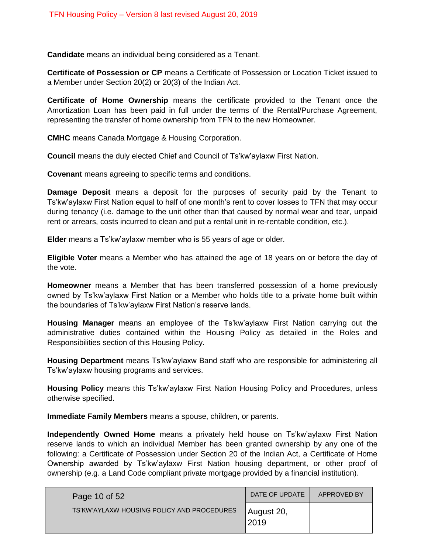**Candidate** means an individual being considered as a Tenant.

**Certificate of Possession or CP** means a Certificate of Possession or Location Ticket issued to a Member under Section 20(2) or 20(3) of the Indian Act.

**Certificate of Home Ownership** means the certificate provided to the Tenant once the Amortization Loan has been paid in full under the terms of the Rental/Purchase Agreement, representing the transfer of home ownership from TFN to the new Homeowner.

**CMHC** means Canada Mortgage & Housing Corporation.

**Council** means the duly elected Chief and Council of Ts'kw'aylaxw First Nation.

**Covenant** means agreeing to specific terms and conditions.

**Damage Deposit** means a deposit for the purposes of security paid by the Tenant to Ts'kw'aylaxw First Nation equal to half of one month's rent to cover losses to TFN that may occur during tenancy (i.e. damage to the unit other than that caused by normal wear and tear, unpaid rent or arrears, costs incurred to clean and put a rental unit in re-rentable condition, etc.).

**Elder** means a Ts'kw'aylaxw member who is 55 years of age or older.

**Eligible Voter** means a Member who has attained the age of 18 years on or before the day of the vote.

**Homeowner** means a Member that has been transferred possession of a home previously owned by Ts'kw'aylaxw First Nation or a Member who holds title to a private home built within the boundaries of Ts'kw'aylaxw First Nation's reserve lands.

**Housing Manager** means an employee of the Ts'kw'aylaxw First Nation carrying out the administrative duties contained within the Housing Policy as detailed in the Roles and Responsibilities section of this Housing Policy.

**Housing Department** means Ts'kw'aylaxw Band staff who are responsible for administering all Ts'kw'aylaxw housing programs and services.

**Housing Policy** means this Ts'kw'aylaxw First Nation Housing Policy and Procedures, unless otherwise specified.

**Immediate Family Members** means a spouse, children, or parents.

**Independently Owned Home** means a privately held house on Ts'kw'aylaxw First Nation reserve lands to which an individual Member has been granted ownership by any one of the following: a Certificate of Possession under Section 20 of the Indian Act, a Certificate of Home Ownership awarded by Ts'kw'aylaxw First Nation housing department, or other proof of ownership (e.g. a Land Code compliant private mortgage provided by a financial institution).

| Page 10 of 52                              | DATE OF UPDATE     | APPROVED BY |
|--------------------------------------------|--------------------|-------------|
| TS'KW'AYLAXW HOUSING POLICY AND PROCEDURES | August 20,<br>2019 |             |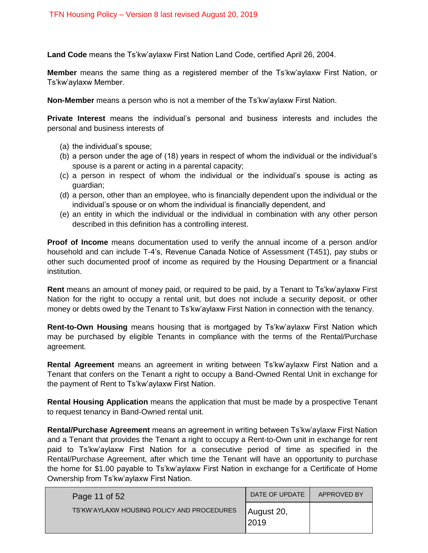**Land Code** means the Ts'kw'aylaxw First Nation Land Code, certified April 26, 2004.

**Member** means the same thing as a registered member of the Ts'kw'aylaxw First Nation, or Ts'kw'aylaxw Member.

**Non-Member** means a person who is not a member of the Ts'kw'aylaxw First Nation.

**Private Interest** means the individual's personal and business interests and includes the personal and business interests of

- (a) the individual's spouse;
- (b) a person under the age of (18) years in respect of whom the individual or the individual's spouse is a parent or acting in a parental capacity;
- (c) a person in respect of whom the individual or the individual's spouse is acting as guardian;
- (d) a person, other than an employee, who is financially dependent upon the individual or the individual's spouse or on whom the individual is financially dependent, and
- (e) an entity in which the individual or the individual in combination with any other person described in this definition has a controlling interest.

**Proof of Income** means documentation used to verify the annual income of a person and/or household and can include T-4's, Revenue Canada Notice of Assessment (T451), pay stubs or other such documented proof of income as required by the Housing Department or a financial institution.

**Rent** means an amount of money paid, or required to be paid, by a Tenant to Ts'kw'aylaxw First Nation for the right to occupy a rental unit, but does not include a security deposit, or other money or debts owed by the Tenant to Ts'kw'aylaxw First Nation in connection with the tenancy.

**Rent-to-Own Housing** means housing that is mortgaged by Ts'kw'aylaxw First Nation which may be purchased by eligible Tenants in compliance with the terms of the Rental/Purchase agreement.

**Rental Agreement** means an agreement in writing between Ts'kw'aylaxw First Nation and a Tenant that confers on the Tenant a right to occupy a Band-Owned Rental Unit in exchange for the payment of Rent to Ts'kw'aylaxw First Nation.

**Rental Housing Application** means the application that must be made by a prospective Tenant to request tenancy in Band-Owned rental unit.

**Rental/Purchase Agreement** means an agreement in writing between Ts'kw'aylaxw First Nation and a Tenant that provides the Tenant a right to occupy a Rent-to-Own unit in exchange for rent paid to Ts'kw'aylaxw First Nation for a consecutive period of time as specified in the Rental/Purchase Agreement, after which time the Tenant will have an opportunity to purchase the home for \$1.00 payable to Ts'kw'aylaxw First Nation in exchange for a Certificate of Home Ownership from Ts'kw'aylaxw First Nation.

| Page 11 of 52                              | DATE OF UPDATE     | APPROVED BY |
|--------------------------------------------|--------------------|-------------|
| TS'KW'AYLAXW HOUSING POLICY AND PROCEDURES | August 20,<br>2019 |             |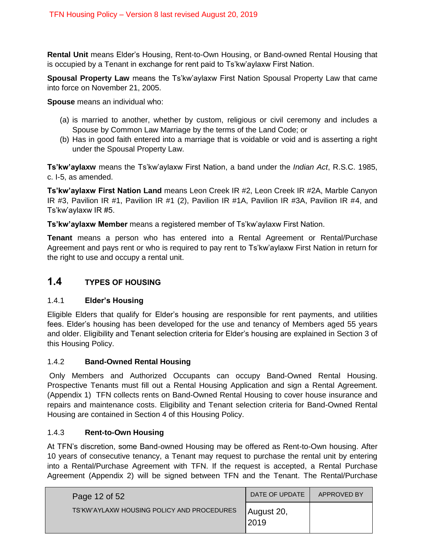**Rental Unit** means Elder's Housing, Rent-to-Own Housing, or Band-owned Rental Housing that is occupied by a Tenant in exchange for rent paid to Ts'kw'aylaxw First Nation.

**Spousal Property Law** means the Ts'kw'aylaxw First Nation Spousal Property Law that came into force on November 21, 2005.

**Spouse** means an individual who:

- (a) is married to another, whether by custom, religious or civil ceremony and includes a Spouse by Common Law Marriage by the terms of the Land Code; or
- (b) Has in good faith entered into a marriage that is voidable or void and is asserting a right under the Spousal Property Law.

**Ts'kw'aylaxw** means the Ts'kw'aylaxw First Nation, a band under the *Indian Act*, R.S.C. 1985, c. I-5, as amended.

**Ts'kw'aylaxw First Nation Land** means Leon Creek IR #2, Leon Creek IR #2A, Marble Canyon IR #3, Pavilion IR #1, Pavilion IR #1 (2), Pavilion IR #1A, Pavilion IR #3A, Pavilion IR #4, and Ts'kw'aylaxw IR #5.

**Ts'kw'aylaxw Member** means a registered member of Ts'kw'aylaxw First Nation.

**Tenant** means a person who has entered into a Rental Agreement or Rental/Purchase Agreement and pays rent or who is required to pay rent to Ts'kw'aylaxw First Nation in return for the right to use and occupy a rental unit.

# <span id="page-11-0"></span>**1.4 TYPES OF HOUSING**

### <span id="page-11-1"></span>1.4.1 **Elder's Housing**

Eligible Elders that qualify for Elder's housing are responsible for rent payments, and utilities fees. Elder's housing has been developed for the use and tenancy of Members aged 55 years and older. Eligibility and Tenant selection criteria for Elder's housing are explained in Section 3 of this Housing Policy.

### <span id="page-11-2"></span>1.4.2 **Band-Owned Rental Housing**

Only Members and Authorized Occupants can occupy Band-Owned Rental Housing. Prospective Tenants must fill out a Rental Housing Application and sign a Rental Agreement. (Appendix 1) TFN collects rents on Band-Owned Rental Housing to cover house insurance and repairs and maintenance costs. Eligibility and Tenant selection criteria for Band-Owned Rental Housing are contained in Section 4 of this Housing Policy.

# <span id="page-11-3"></span>1.4.3 **Rent-to-Own Housing**

At TFN's discretion, some Band-owned Housing may be offered as Rent-to-Own housing. After 10 years of consecutive tenancy, a Tenant may request to purchase the rental unit by entering into a Rental/Purchase Agreement with TFN. If the request is accepted, a Rental Purchase Agreement (Appendix 2) will be signed between TFN and the Tenant. The Rental/Purchase

| Page 12 of 52                              | DATE OF UPDATE     | APPROVED BY |
|--------------------------------------------|--------------------|-------------|
| TS'KW'AYLAXW HOUSING POLICY AND PROCEDURES | August 20,<br>2019 |             |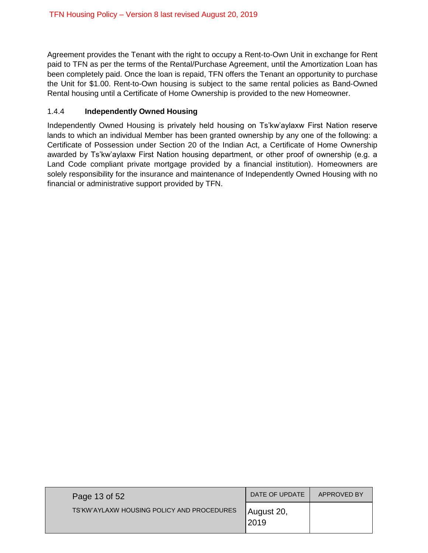Agreement provides the Tenant with the right to occupy a Rent-to-Own Unit in exchange for Rent paid to TFN as per the terms of the Rental/Purchase Agreement, until the Amortization Loan has been completely paid. Once the loan is repaid, TFN offers the Tenant an opportunity to purchase the Unit for \$1.00. Rent-to-Own housing is subject to the same rental policies as Band-Owned Rental housing until a Certificate of Home Ownership is provided to the new Homeowner.

# <span id="page-12-0"></span>1.4.4 **Independently Owned Housing**

Independently Owned Housing is privately held housing on Ts'kw'aylaxw First Nation reserve lands to which an individual Member has been granted ownership by any one of the following: a Certificate of Possession under Section 20 of the Indian Act, a Certificate of Home Ownership awarded by Ts'kw'aylaxw First Nation housing department, or other proof of ownership (e.g. a Land Code compliant private mortgage provided by a financial institution). Homeowners are solely responsibility for the insurance and maintenance of Independently Owned Housing with no financial or administrative support provided by TFN.

| Page 13 of 52                              | DATE OF UPDATE     | APPROVED BY |
|--------------------------------------------|--------------------|-------------|
| TS'KW'AYLAXW HOUSING POLICY AND PROCEDURES | August 20,<br>2019 |             |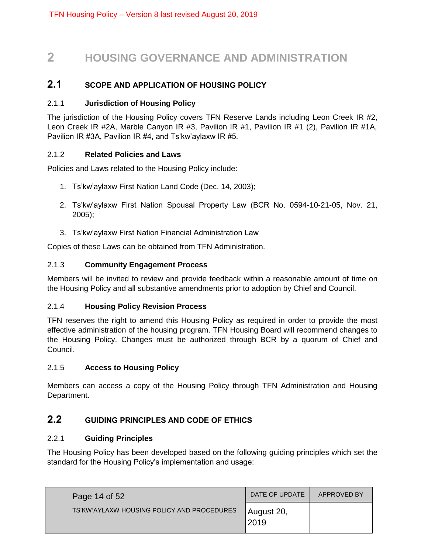# <span id="page-13-0"></span>**2 HOUSING GOVERNANCE AND ADMINISTRATION**

# <span id="page-13-1"></span>**2.1 SCOPE AND APPLICATION OF HOUSING POLICY**

# <span id="page-13-2"></span>2.1.1 **Jurisdiction of Housing Policy**

The jurisdiction of the Housing Policy covers TFN Reserve Lands including Leon Creek IR #2, Leon Creek IR #2A, Marble Canyon IR #3, Pavilion IR #1, Pavilion IR #1 (2), Pavilion IR #1A, Pavilion IR #3A, Pavilion IR #4, and Ts'kw'aylaxw IR #5.

# <span id="page-13-3"></span>2.1.2 **Related Policies and Laws**

Policies and Laws related to the Housing Policy include:

- 1. Ts'kw'aylaxw First Nation Land Code (Dec. 14, 2003);
- 2. Ts'kw'aylaxw First Nation Spousal Property Law (BCR No. 0594-10-21-05, Nov. 21, 2005);
- 3. Ts'kw'aylaxw First Nation Financial Administration Law

Copies of these Laws can be obtained from TFN Administration.

# <span id="page-13-4"></span>2.1.3 **Community Engagement Process**

Members will be invited to review and provide feedback within a reasonable amount of time on the Housing Policy and all substantive amendments prior to adoption by Chief and Council.

### <span id="page-13-5"></span>2.1.4 **Housing Policy Revision Process**

TFN reserves the right to amend this Housing Policy as required in order to provide the most effective administration of the housing program. TFN Housing Board will recommend changes to the Housing Policy. Changes must be authorized through BCR by a quorum of Chief and Council.

### <span id="page-13-6"></span>2.1.5 **Access to Housing Policy**

Members can access a copy of the Housing Policy through TFN Administration and Housing Department.

# <span id="page-13-7"></span>**2.2 GUIDING PRINCIPLES AND CODE OF ETHICS**

## <span id="page-13-8"></span>2.2.1 **Guiding Principles**

The Housing Policy has been developed based on the following guiding principles which set the standard for the Housing Policy's implementation and usage:

| Page 14 of 52                              | DATE OF UPDATE     | APPROVED BY |
|--------------------------------------------|--------------------|-------------|
| TS'KW'AYLAXW HOUSING POLICY AND PROCEDURES | August 20,<br>2019 |             |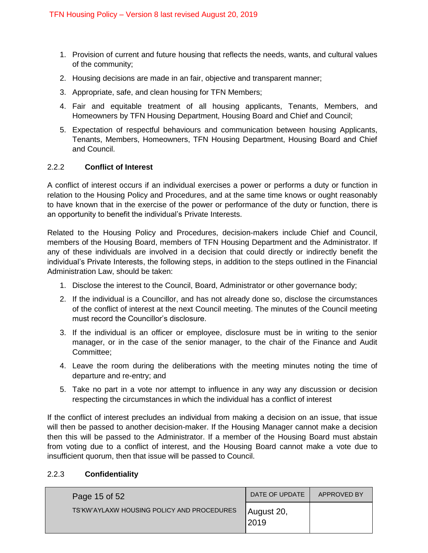- 1. Provision of current and future housing that reflects the needs, wants, and cultural values of the community;
- 2. Housing decisions are made in an fair, objective and transparent manner;
- 3. Appropriate, safe, and clean housing for TFN Members;
- 4. Fair and equitable treatment of all housing applicants, Tenants, Members, and Homeowners by TFN Housing Department, Housing Board and Chief and Council;
- 5. Expectation of respectful behaviours and communication between housing Applicants, Tenants, Members, Homeowners, TFN Housing Department, Housing Board and Chief and Council.

### <span id="page-14-0"></span>2.2.2 **Conflict of Interest**

A conflict of interest occurs if an individual exercises a power or performs a duty or function in relation to the Housing Policy and Procedures, and at the same time knows or ought reasonably to have known that in the exercise of the power or performance of the duty or function, there is an opportunity to benefit the individual's Private Interests.

Related to the Housing Policy and Procedures, decision-makers include Chief and Council, members of the Housing Board, members of TFN Housing Department and the Administrator. If any of these individuals are involved in a decision that could directly or indirectly benefit the individual's Private Interests, the following steps, in addition to the steps outlined in the Financial Administration Law, should be taken:

- 1. Disclose the interest to the Council, Board, Administrator or other governance body;
- 2. If the individual is a Councillor, and has not already done so, disclose the circumstances of the conflict of interest at the next Council meeting. The minutes of the Council meeting must record the Councillor's disclosure.
- 3. If the individual is an officer or employee, disclosure must be in writing to the senior manager, or in the case of the senior manager, to the chair of the Finance and Audit Committee;
- 4. Leave the room during the deliberations with the meeting minutes noting the time of departure and re-entry; and
- 5. Take no part in a vote nor attempt to influence in any way any discussion or decision respecting the circumstances in which the individual has a conflict of interest

If the conflict of interest precludes an individual from making a decision on an issue, that issue will then be passed to another decision-maker. If the Housing Manager cannot make a decision then this will be passed to the Administrator. If a member of the Housing Board must abstain from voting due to a conflict of interest, and the Housing Board cannot make a vote due to insufficient quorum, then that issue will be passed to Council.

### <span id="page-14-1"></span>2.2.3 **Confidentiality**

| Page 15 of 52                              | DATE OF UPDATE      | APPROVED BY |
|--------------------------------------------|---------------------|-------------|
| TS'KW'AYLAXW HOUSING POLICY AND PROCEDURES | August 20,<br>12019 |             |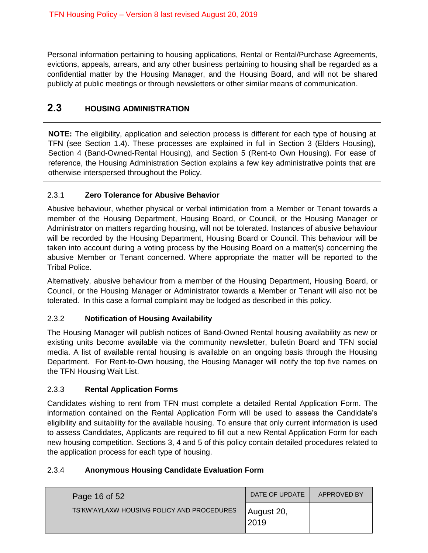Personal information pertaining to housing applications, Rental or Rental/Purchase Agreements, evictions, appeals, arrears, and any other business pertaining to housing shall be regarded as a confidential matter by the Housing Manager, and the Housing Board, and will not be shared publicly at public meetings or through newsletters or other similar means of communication.

# <span id="page-15-0"></span>**2.3 HOUSING ADMINISTRATION**

**NOTE:** The eligibility, application and selection process is different for each type of housing at TFN (see Section 1.4). These processes are explained in full in Section 3 (Elders Housing), Section 4 (Band-Owned-Rental Housing), and Section 5 (Rent-to Own Housing). For ease of reference, the Housing Administration Section explains a few key administrative points that are otherwise interspersed throughout the Policy.

# <span id="page-15-1"></span>2.3.1 **Zero Tolerance for Abusive Behavior**

Abusive behaviour, whether physical or verbal intimidation from a Member or Tenant towards a member of the Housing Department, Housing Board, or Council, or the Housing Manager or Administrator on matters regarding housing, will not be tolerated. Instances of abusive behaviour will be recorded by the Housing Department, Housing Board or Council. This behaviour will be taken into account during a voting process by the Housing Board on a matter(s) concerning the abusive Member or Tenant concerned. Where appropriate the matter will be reported to the Tribal Police.

Alternatively, abusive behaviour from a member of the Housing Department, Housing Board, or Council, or the Housing Manager or Administrator towards a Member or Tenant will also not be tolerated. In this case a formal complaint may be lodged as described in this policy.

# <span id="page-15-2"></span>2.3.2 **Notification of Housing Availability**

The Housing Manager will publish notices of Band-Owned Rental housing availability as new or existing units become available via the community newsletter, bulletin Board and TFN social media. A list of available rental housing is available on an ongoing basis through the Housing Department. For Rent-to-Own housing, the Housing Manager will notify the top five names on the TFN Housing Wait List.

# <span id="page-15-3"></span>2.3.3 **Rental Application Forms**

Candidates wishing to rent from TFN must complete a detailed Rental Application Form. The information contained on the Rental Application Form will be used to assess the Candidate's eligibility and suitability for the available housing. To ensure that only current information is used to assess Candidates, Applicants are required to fill out a new Rental Application Form for each new housing competition. Sections 3, 4 and 5 of this policy contain detailed procedures related to the application process for each type of housing.

# <span id="page-15-4"></span>2.3.4 **Anonymous Housing Candidate Evaluation Form**

| Page 16 of 52                              | DATE OF UPDATE      | APPROVED BY |
|--------------------------------------------|---------------------|-------------|
| TS'KW'AYLAXW HOUSING POLICY AND PROCEDURES | August 20,<br>12019 |             |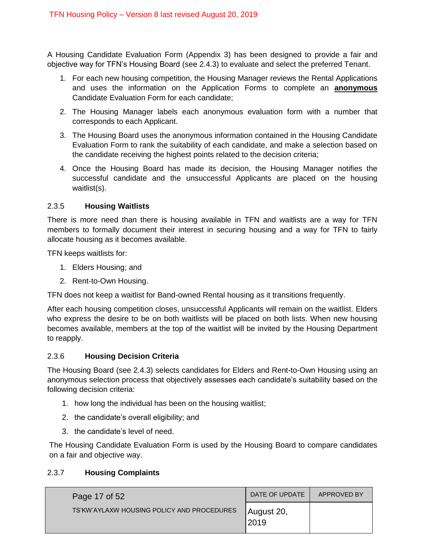A Housing Candidate Evaluation Form (Appendix 3) has been designed to provide a fair and objective way for TFN's Housing Board (see 2.4.3) to evaluate and select the preferred Tenant.

- 1. For each new housing competition, the Housing Manager reviews the Rental Applications and uses the information on the Application Forms to complete an **anonymous** Candidate Evaluation Form for each candidate;
- 2. The Housing Manager labels each anonymous evaluation form with a number that corresponds to each Applicant.
- 3. The Housing Board uses the anonymous information contained in the Housing Candidate Evaluation Form to rank the suitability of each candidate, and make a selection based on the candidate receiving the highest points related to the decision criteria;
- 4. Once the Housing Board has made its decision, the Housing Manager notifies the successful candidate and the unsuccessful Applicants are placed on the housing waitlist(s).

### <span id="page-16-0"></span>2.3.5 **Housing Waitlists**

There is more need than there is housing available in TFN and waitlists are a way for TFN members to formally document their interest in securing housing and a way for TFN to fairly allocate housing as it becomes available.

TFN keeps waitlists for:

- 1. Elders Housing; and
- 2. Rent-to-Own Housing.

TFN does not keep a waitlist for Band-owned Rental housing as it transitions frequently.

After each housing competition closes, unsuccessful Applicants will remain on the waitlist. Elders who express the desire to be on both waitlists will be placed on both lists. When new housing becomes available, members at the top of the waitlist will be invited by the Housing Department to reapply.

### <span id="page-16-1"></span>2.3.6 **Housing Decision Criteria**

The Housing Board (see 2.4.3) selects candidates for Elders and Rent-to-Own Housing using an anonymous selection process that objectively assesses each candidate's suitability based on the following decision criteria:

- 1. how long the individual has been on the housing waitlist;
- 2. the candidate's overall eligibility; and
- 3. the candidate's level of need.

The Housing Candidate Evaluation Form is used by the Housing Board to compare candidates on a fair and objective way.

### <span id="page-16-2"></span>2.3.7 **Housing Complaints**

| Page 17 of 52                              | DATE OF UPDATE     | APPROVED BY |
|--------------------------------------------|--------------------|-------------|
| TS'KW'AYLAXW HOUSING POLICY AND PROCEDURES | August 20,<br>2019 |             |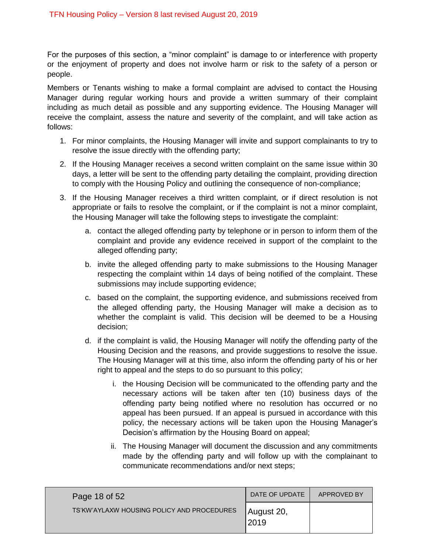For the purposes of this section, a "minor complaint" is damage to or interference with property or the enjoyment of property and does not involve harm or risk to the safety of a person or people.

Members or Tenants wishing to make a formal complaint are advised to contact the Housing Manager during regular working hours and provide a written summary of their complaint including as much detail as possible and any supporting evidence. The Housing Manager will receive the complaint, assess the nature and severity of the complaint, and will take action as follows:

- 1. For minor complaints, the Housing Manager will invite and support complainants to try to resolve the issue directly with the offending party;
- 2. If the Housing Manager receives a second written complaint on the same issue within 30 days, a letter will be sent to the offending party detailing the complaint, providing direction to comply with the Housing Policy and outlining the consequence of non-compliance;
- 3. If the Housing Manager receives a third written complaint, or if direct resolution is not appropriate or fails to resolve the complaint, or if the complaint is not a minor complaint, the Housing Manager will take the following steps to investigate the complaint:
	- a. contact the alleged offending party by telephone or in person to inform them of the complaint and provide any evidence received in support of the complaint to the alleged offending party;
	- b. invite the alleged offending party to make submissions to the Housing Manager respecting the complaint within 14 days of being notified of the complaint. These submissions may include supporting evidence;
	- c. based on the complaint, the supporting evidence, and submissions received from the alleged offending party, the Housing Manager will make a decision as to whether the complaint is valid. This decision will be deemed to be a Housing decision;
	- d. if the complaint is valid, the Housing Manager will notify the offending party of the Housing Decision and the reasons, and provide suggestions to resolve the issue. The Housing Manager will at this time, also inform the offending party of his or her right to appeal and the steps to do so pursuant to this policy;
		- i. the Housing Decision will be communicated to the offending party and the necessary actions will be taken after ten (10) business days of the offending party being notified where no resolution has occurred or no appeal has been pursued. If an appeal is pursued in accordance with this policy, the necessary actions will be taken upon the Housing Manager's Decision's affirmation by the Housing Board on appeal;
		- ii. The Housing Manager will document the discussion and any commitments made by the offending party and will follow up with the complainant to communicate recommendations and/or next steps;

| Page 18 of 52                              | DATE OF UPDATE      | APPROVED BY |
|--------------------------------------------|---------------------|-------------|
| TS'KW'AYLAXW HOUSING POLICY AND PROCEDURES | August 20,<br> 2019 |             |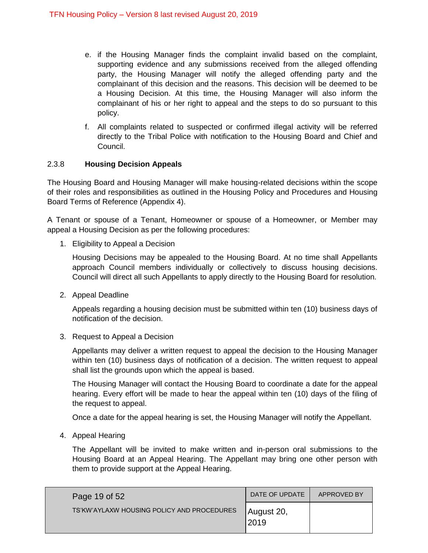- e. if the Housing Manager finds the complaint invalid based on the complaint, supporting evidence and any submissions received from the alleged offending party, the Housing Manager will notify the alleged offending party and the complainant of this decision and the reasons. This decision will be deemed to be a Housing Decision. At this time, the Housing Manager will also inform the complainant of his or her right to appeal and the steps to do so pursuant to this policy.
- f. All complaints related to suspected or confirmed illegal activity will be referred directly to the Tribal Police with notification to the Housing Board and Chief and Council.

# <span id="page-18-0"></span>2.3.8 **Housing Decision Appeals**

The Housing Board and Housing Manager will make housing-related decisions within the scope of their roles and responsibilities as outlined in the Housing Policy and Procedures and Housing Board Terms of Reference (Appendix 4).

A Tenant or spouse of a Tenant, Homeowner or spouse of a Homeowner, or Member may appeal a Housing Decision as per the following procedures:

1. Eligibility to Appeal a Decision

Housing Decisions may be appealed to the Housing Board. At no time shall Appellants approach Council members individually or collectively to discuss housing decisions. Council will direct all such Appellants to apply directly to the Housing Board for resolution.

2. Appeal Deadline

Appeals regarding a housing decision must be submitted within ten (10) business days of notification of the decision.

3. Request to Appeal a Decision

Appellants may deliver a written request to appeal the decision to the Housing Manager within ten (10) business days of notification of a decision. The written request to appeal shall list the grounds upon which the appeal is based.

The Housing Manager will contact the Housing Board to coordinate a date for the appeal hearing. Every effort will be made to hear the appeal within ten (10) days of the filing of the request to appeal.

Once a date for the appeal hearing is set, the Housing Manager will notify the Appellant.

4. Appeal Hearing

The Appellant will be invited to make written and in-person oral submissions to the Housing Board at an Appeal Hearing. The Appellant may bring one other person with them to provide support at the Appeal Hearing.

| Page 19 of 52                              | DATE OF UPDATE      | APPROVED BY |
|--------------------------------------------|---------------------|-------------|
| TS'KW'AYLAXW HOUSING POLICY AND PROCEDURES | August 20,<br> 2019 |             |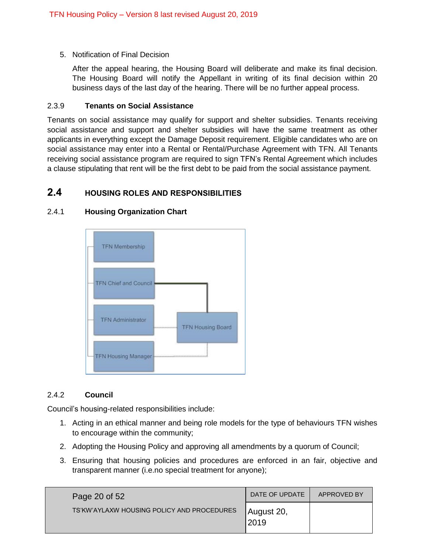5. Notification of Final Decision

After the appeal hearing, the Housing Board will deliberate and make its final decision. The Housing Board will notify the Appellant in writing of its final decision within 20 business days of the last day of the hearing. There will be no further appeal process.

#### <span id="page-19-0"></span>2.3.9 **Tenants on Social Assistance**

Tenants on social assistance may qualify for support and shelter subsidies. Tenants receiving social assistance and support and shelter subsidies will have the same treatment as other applicants in everything except the Damage Deposit requirement. Eligible candidates who are on social assistance may enter into a Rental or Rental/Purchase Agreement with TFN. All Tenants receiving social assistance program are required to sign TFN's Rental Agreement which includes a clause stipulating that rent will be the first debt to be paid from the social assistance payment.

# <span id="page-19-1"></span>**2.4 HOUSING ROLES AND RESPONSIBILITIES**



### <span id="page-19-2"></span>2.4.1 **Housing Organization Chart**

### <span id="page-19-3"></span>2.4.2 **Council**

Council's housing-related responsibilities include:

- 1. Acting in an ethical manner and being role models for the type of behaviours TFN wishes to encourage within the community;
- 2. Adopting the Housing Policy and approving all amendments by a quorum of Council;
- 3. Ensuring that housing policies and procedures are enforced in an fair, objective and transparent manner (i.e.no special treatment for anyone);

| Page 20 of 52                              | DATE OF UPDATE     | APPROVED BY |
|--------------------------------------------|--------------------|-------------|
| TS'KW'AYLAXW HOUSING POLICY AND PROCEDURES | August 20,<br>2019 |             |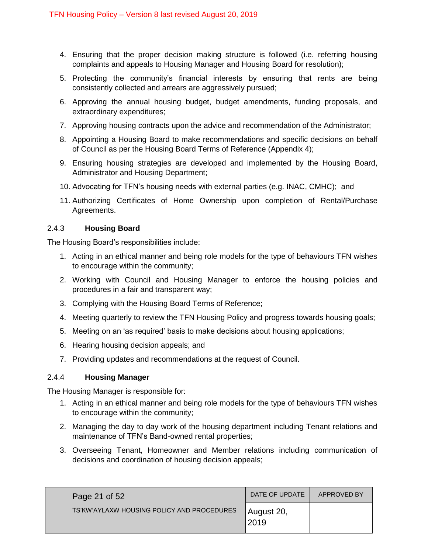- 4. Ensuring that the proper decision making structure is followed (i.e. referring housing complaints and appeals to Housing Manager and Housing Board for resolution);
- 5. Protecting the community's financial interests by ensuring that rents are being consistently collected and arrears are aggressively pursued;
- 6. Approving the annual housing budget, budget amendments, funding proposals, and extraordinary expenditures;
- 7. Approving housing contracts upon the advice and recommendation of the Administrator;
- 8. Appointing a Housing Board to make recommendations and specific decisions on behalf of Council as per the Housing Board Terms of Reference (Appendix 4);
- 9. Ensuring housing strategies are developed and implemented by the Housing Board, Administrator and Housing Department;
- 10. Advocating for TFN's housing needs with external parties (e.g. INAC, CMHC); and
- 11. Authorizing Certificates of Home Ownership upon completion of Rental/Purchase Agreements.

### <span id="page-20-0"></span>2.4.3 **Housing Board**

The Housing Board's responsibilities include:

- 1. Acting in an ethical manner and being role models for the type of behaviours TFN wishes to encourage within the community;
- 2. Working with Council and Housing Manager to enforce the housing policies and procedures in a fair and transparent way;
- 3. Complying with the Housing Board Terms of Reference;
- 4. Meeting quarterly to review the TFN Housing Policy and progress towards housing goals;
- 5. Meeting on an 'as required' basis to make decisions about housing applications;
- 6. Hearing housing decision appeals; and
- 7. Providing updates and recommendations at the request of Council.

### <span id="page-20-1"></span>2.4.4 **Housing Manager**

The Housing Manager is responsible for:

- 1. Acting in an ethical manner and being role models for the type of behaviours TFN wishes to encourage within the community;
- 2. Managing the day to day work of the housing department including Tenant relations and maintenance of TFN's Band-owned rental properties;
- 3. Overseeing Tenant, Homeowner and Member relations including communication of decisions and coordination of housing decision appeals;

| Page 21 of 52                              | DATE OF UPDATE     | APPROVED BY |
|--------------------------------------------|--------------------|-------------|
| TS'KW'AYLAXW HOUSING POLICY AND PROCEDURES | August 20,<br>2019 |             |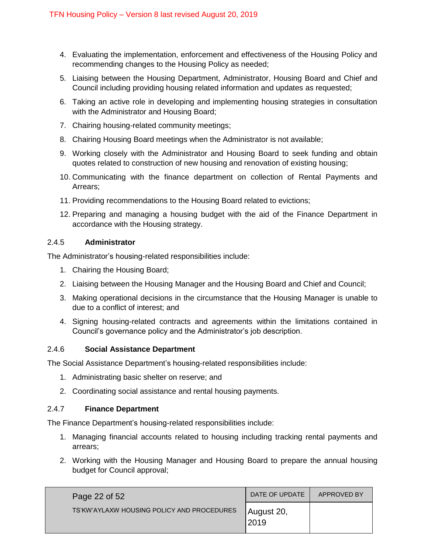- 4. Evaluating the implementation, enforcement and effectiveness of the Housing Policy and recommending changes to the Housing Policy as needed;
- 5. Liaising between the Housing Department, Administrator, Housing Board and Chief and Council including providing housing related information and updates as requested;
- 6. Taking an active role in developing and implementing housing strategies in consultation with the Administrator and Housing Board;
- 7. Chairing housing-related community meetings;
- 8. Chairing Housing Board meetings when the Administrator is not available;
- 9. Working closely with the Administrator and Housing Board to seek funding and obtain quotes related to construction of new housing and renovation of existing housing;
- 10. Communicating with the finance department on collection of Rental Payments and Arrears;
- 11. Providing recommendations to the Housing Board related to evictions;
- 12. Preparing and managing a housing budget with the aid of the Finance Department in accordance with the Housing strategy.

### <span id="page-21-0"></span>2.4.5 **Administrator**

The Administrator's housing-related responsibilities include:

- 1. Chairing the Housing Board;
- 2. Liaising between the Housing Manager and the Housing Board and Chief and Council;
- 3. Making operational decisions in the circumstance that the Housing Manager is unable to due to a conflict of interest; and
- 4. Signing housing-related contracts and agreements within the limitations contained in Council's governance policy and the Administrator's job description.

### <span id="page-21-1"></span>2.4.6 **Social Assistance Department**

The Social Assistance Department's housing-related responsibilities include:

- 1. Administrating basic shelter on reserve; and
- 2. Coordinating social assistance and rental housing payments.

### <span id="page-21-2"></span>2.4.7 **Finance Department**

The Finance Department's housing-related responsibilities include:

- 1. Managing financial accounts related to housing including tracking rental payments and arrears;
- 2. Working with the Housing Manager and Housing Board to prepare the annual housing budget for Council approval;

| Page 22 of 52                              | DATE OF UPDATE     | APPROVED BY |
|--------------------------------------------|--------------------|-------------|
| TS'KW'AYLAXW HOUSING POLICY AND PROCEDURES | August 20,<br>2019 |             |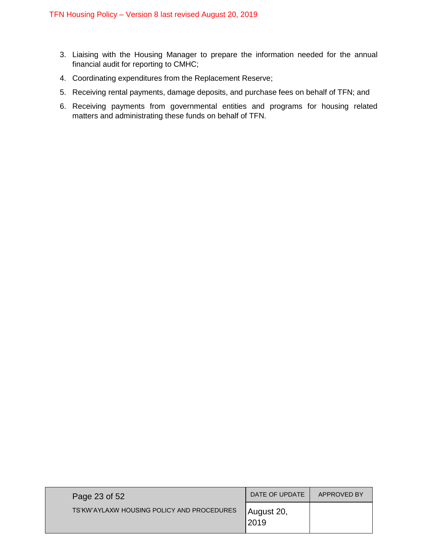- 3. Liaising with the Housing Manager to prepare the information needed for the annual financial audit for reporting to CMHC;
- 4. Coordinating expenditures from the Replacement Reserve;
- 5. Receiving rental payments, damage deposits, and purchase fees on behalf of TFN; and
- 6. Receiving payments from governmental entities and programs for housing related matters and administrating these funds on behalf of TFN.

| Page 23 of 52                              | DATE OF UPDATE     | APPROVED BY |
|--------------------------------------------|--------------------|-------------|
| TS'KW'AYLAXW HOUSING POLICY AND PROCEDURES | August 20,<br>2019 |             |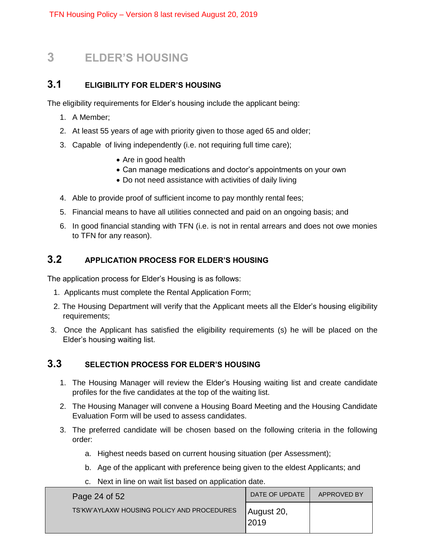# <span id="page-23-0"></span>**3 ELDER'S HOUSING**

# <span id="page-23-1"></span>**3.1 ELIGIBILITY FOR ELDER'S HOUSING**

The eligibility requirements for Elder's housing include the applicant being:

- 1. A Member;
- 2. At least 55 years of age with priority given to those aged 65 and older;
- 3. Capable of living independently (i.e. not requiring full time care);
	- Are in good health
	- Can manage medications and doctor's appointments on your own
	- Do not need assistance with activities of daily living
- 4. Able to provide proof of sufficient income to pay monthly rental fees;
- 5. Financial means to have all utilities connected and paid on an ongoing basis; and
- 6. In good financial standing with TFN (i.e. is not in rental arrears and does not owe monies to TFN for any reason).

# <span id="page-23-2"></span>**3.2 APPLICATION PROCESS FOR ELDER'S HOUSING**

The application process for Elder's Housing is as follows:

- 1. Applicants must complete the Rental Application Form;
- 2. The Housing Department will verify that the Applicant meets all the Elder's housing eligibility requirements;
- 3. Once the Applicant has satisfied the eligibility requirements (s) he will be placed on the Elder's housing waiting list.

# <span id="page-23-3"></span>**3.3 SELECTION PROCESS FOR ELDER'S HOUSING**

- 1. The Housing Manager will review the Elder's Housing waiting list and create candidate profiles for the five candidates at the top of the waiting list.
- 2. The Housing Manager will convene a Housing Board Meeting and the Housing Candidate Evaluation Form will be used to assess candidates.
- 3. The preferred candidate will be chosen based on the following criteria in the following order:
	- a. Highest needs based on current housing situation (per Assessment);
	- b. Age of the applicant with preference being given to the eldest Applicants; and
	- c. Next in line on wait list based on application date.

| Page 24 of 52                              | DATE OF UPDATE      | APPROVED BY |
|--------------------------------------------|---------------------|-------------|
| TS'KW'AYLAXW HOUSING POLICY AND PROCEDURES | August 20,<br>12019 |             |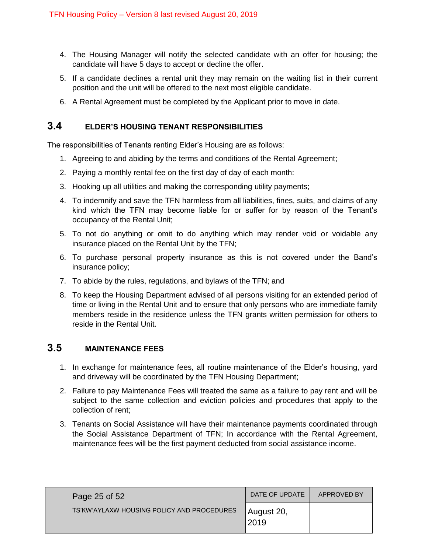- 4. The Housing Manager will notify the selected candidate with an offer for housing; the candidate will have 5 days to accept or decline the offer.
- 5. If a candidate declines a rental unit they may remain on the waiting list in their current position and the unit will be offered to the next most eligible candidate.
- 6. A Rental Agreement must be completed by the Applicant prior to move in date.

# <span id="page-24-0"></span>**3.4 ELDER'S HOUSING TENANT RESPONSIBILITIES**

The responsibilities of Tenants renting Elder's Housing are as follows:

- 1. Agreeing to and abiding by the terms and conditions of the Rental Agreement;
- 2. Paying a monthly rental fee on the first day of day of each month:
- 3. Hooking up all utilities and making the corresponding utility payments;
- 4. To indemnify and save the TFN harmless from all liabilities, fines, suits, and claims of any kind which the TFN may become liable for or suffer for by reason of the Tenant's occupancy of the Rental Unit;
- 5. To not do anything or omit to do anything which may render void or voidable any insurance placed on the Rental Unit by the TFN;
- 6. To purchase personal property insurance as this is not covered under the Band's insurance policy;
- 7. To abide by the rules, regulations, and bylaws of the TFN; and
- 8. To keep the Housing Department advised of all persons visiting for an extended period of time or living in the Rental Unit and to ensure that only persons who are immediate family members reside in the residence unless the TFN grants written permission for others to reside in the Rental Unit.

# <span id="page-24-1"></span>**3.5 MAINTENANCE FEES**

- 1. In exchange for maintenance fees, all routine maintenance of the Elder's housing, yard and driveway will be coordinated by the TFN Housing Department;
- 2. Failure to pay Maintenance Fees will treated the same as a failure to pay rent and will be subject to the same collection and eviction policies and procedures that apply to the collection of rent;
- 3. Tenants on Social Assistance will have their maintenance payments coordinated through the Social Assistance Department of TFN; In accordance with the Rental Agreement, maintenance fees will be the first payment deducted from social assistance income.

| Page 25 of 52                              | DATE OF UPDATE      | APPROVED BY |
|--------------------------------------------|---------------------|-------------|
| TS'KW'AYLAXW HOUSING POLICY AND PROCEDURES | August 20,<br> 2019 |             |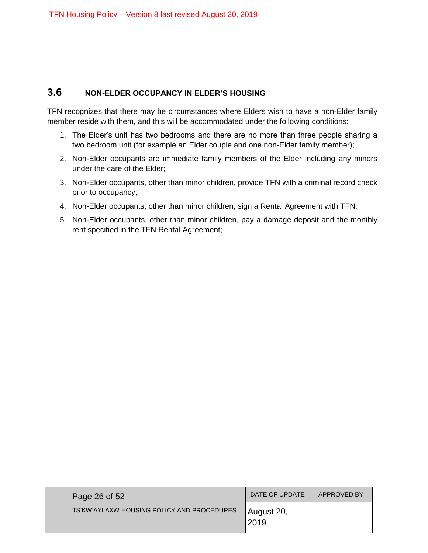# <span id="page-25-0"></span>**3.6 NON-ELDER OCCUPANCY IN ELDER'S HOUSING**

TFN recognizes that there may be circumstances where Elders wish to have a non-Elder family member reside with them, and this will be accommodated under the following conditions:

- 1. The Elder's unit has two bedrooms and there are no more than three people sharing a two bedroom unit (for example an Elder couple and one non-Elder family member);
- 2. Non-Elder occupants are immediate family members of the Elder including any minors under the care of the Elder;
- 3. Non-Elder occupants, other than minor children, provide TFN with a criminal record check prior to occupancy;
- 4. Non-Elder occupants, other than minor children, sign a Rental Agreement with TFN;
- 5. Non-Elder occupants, other than minor children, pay a damage deposit and the monthly rent specified in the TFN Rental Agreement;

| Page 26 of 52                              | DATE OF UPDATE     | APPROVED BY |
|--------------------------------------------|--------------------|-------------|
| TS'KW'AYLAXW HOUSING POLICY AND PROCEDURES | August 20,<br>2019 |             |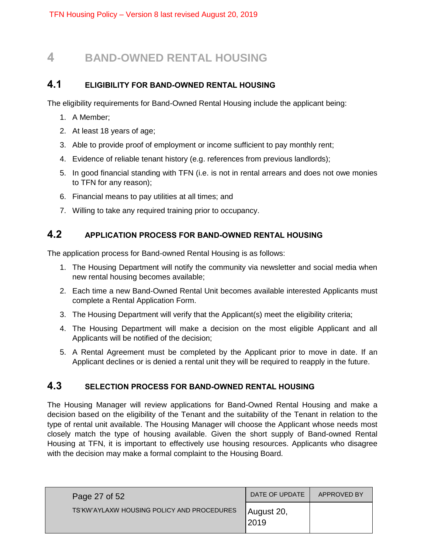# <span id="page-26-0"></span>**4 BAND-OWNED RENTAL HOUSING**

# <span id="page-26-1"></span>**4.1 ELIGIBILITY FOR BAND-OWNED RENTAL HOUSING**

The eligibility requirements for Band-Owned Rental Housing include the applicant being:

- 1. A Member;
- 2. At least 18 years of age;
- 3. Able to provide proof of employment or income sufficient to pay monthly rent;
- 4. Evidence of reliable tenant history (e.g. references from previous landlords);
- 5. In good financial standing with TFN (i.e. is not in rental arrears and does not owe monies to TFN for any reason);
- 6. Financial means to pay utilities at all times; and
- 7. Willing to take any required training prior to occupancy.

# <span id="page-26-2"></span>**4.2 APPLICATION PROCESS FOR BAND-OWNED RENTAL HOUSING**

The application process for Band-owned Rental Housing is as follows:

- 1. The Housing Department will notify the community via newsletter and social media when new rental housing becomes available;
- 2. Each time a new Band-Owned Rental Unit becomes available interested Applicants must complete a Rental Application Form.
- 3. The Housing Department will verify that the Applicant(s) meet the eligibility criteria;
- 4. The Housing Department will make a decision on the most eligible Applicant and all Applicants will be notified of the decision;
- 5. A Rental Agreement must be completed by the Applicant prior to move in date. If an Applicant declines or is denied a rental unit they will be required to reapply in the future.

# <span id="page-26-3"></span>**4.3 SELECTION PROCESS FOR BAND-OWNED RENTAL HOUSING**

The Housing Manager will review applications for Band-Owned Rental Housing and make a decision based on the eligibility of the Tenant and the suitability of the Tenant in relation to the type of rental unit available. The Housing Manager will choose the Applicant whose needs most closely match the type of housing available. Given the short supply of Band-owned Rental Housing at TFN, it is important to effectively use housing resources. Applicants who disagree with the decision may make a formal complaint to the Housing Board.

| Page 27 of 52                              | DATE OF UPDATE      | APPROVED BY |
|--------------------------------------------|---------------------|-------------|
| TS'KW'AYLAXW HOUSING POLICY AND PROCEDURES | August 20,<br> 2019 |             |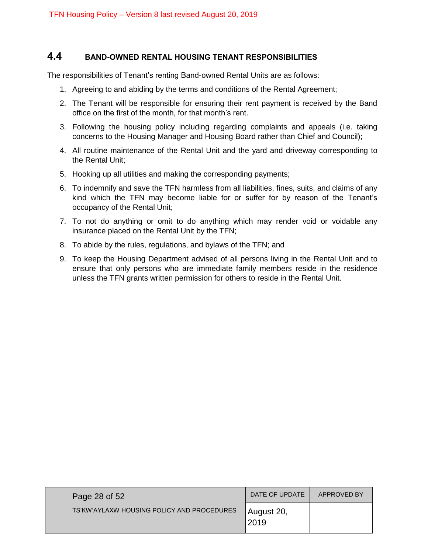# <span id="page-27-0"></span>**4.4 BAND-OWNED RENTAL HOUSING TENANT RESPONSIBILITIES**

The responsibilities of Tenant's renting Band-owned Rental Units are as follows:

- 1. Agreeing to and abiding by the terms and conditions of the Rental Agreement;
- 2. The Tenant will be responsible for ensuring their rent payment is received by the Band office on the first of the month, for that month's rent.
- 3. Following the housing policy including regarding complaints and appeals (i.e. taking concerns to the Housing Manager and Housing Board rather than Chief and Council);
- 4. All routine maintenance of the Rental Unit and the yard and driveway corresponding to the Rental Unit;
- 5. Hooking up all utilities and making the corresponding payments;
- 6. To indemnify and save the TFN harmless from all liabilities, fines, suits, and claims of any kind which the TFN may become liable for or suffer for by reason of the Tenant's occupancy of the Rental Unit;
- 7. To not do anything or omit to do anything which may render void or voidable any insurance placed on the Rental Unit by the TFN;
- 8. To abide by the rules, regulations, and bylaws of the TFN; and
- 9. To keep the Housing Department advised of all persons living in the Rental Unit and to ensure that only persons who are immediate family members reside in the residence unless the TFN grants written permission for others to reside in the Rental Unit.

| Page 28 of 52                              | DATE OF UPDATE      | APPROVED BY |
|--------------------------------------------|---------------------|-------------|
| TS'KW'AYLAXW HOUSING POLICY AND PROCEDURES | August 20,<br> 2019 |             |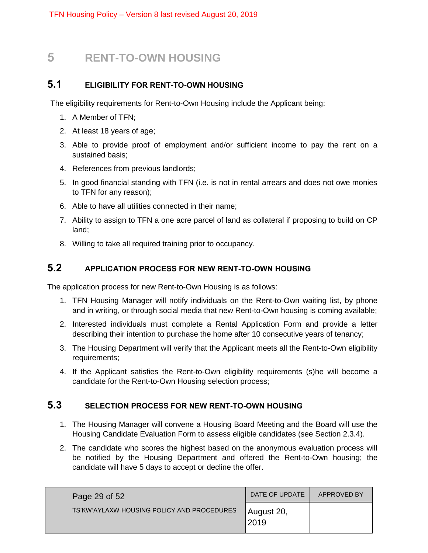# <span id="page-28-0"></span>**5 RENT-TO-OWN HOUSING**

# <span id="page-28-1"></span>**5.1 ELIGIBILITY FOR RENT-TO-OWN HOUSING**

The eligibility requirements for Rent-to-Own Housing include the Applicant being:

- 1. A Member of TFN;
- 2. At least 18 years of age;
- 3. Able to provide proof of employment and/or sufficient income to pay the rent on a sustained basis;
- 4. References from previous landlords;
- 5. In good financial standing with TFN (i.e. is not in rental arrears and does not owe monies to TFN for any reason);
- 6. Able to have all utilities connected in their name;
- 7. Ability to assign to TFN a one acre parcel of land as collateral if proposing to build on CP land;
- 8. Willing to take all required training prior to occupancy.

# <span id="page-28-2"></span>**5.2 APPLICATION PROCESS FOR NEW RENT-TO-OWN HOUSING**

The application process for new Rent-to-Own Housing is as follows:

- 1. TFN Housing Manager will notify individuals on the Rent-to-Own waiting list, by phone and in writing, or through social media that new Rent-to-Own housing is coming available;
- 2. Interested individuals must complete a Rental Application Form and provide a letter describing their intention to purchase the home after 10 consecutive years of tenancy;
- 3. The Housing Department will verify that the Applicant meets all the Rent-to-Own eligibility requirements;
- 4. If the Applicant satisfies the Rent-to-Own eligibility requirements (s)he will become a candidate for the Rent-to-Own Housing selection process;

# <span id="page-28-3"></span>**5.3 SELECTION PROCESS FOR NEW RENT-TO-OWN HOUSING**

- 1. The Housing Manager will convene a Housing Board Meeting and the Board will use the Housing Candidate Evaluation Form to assess eligible candidates (see Section 2.3.4).
- 2. The candidate who scores the highest based on the anonymous evaluation process will be notified by the Housing Department and offered the Rent-to-Own housing; the candidate will have 5 days to accept or decline the offer.

| Page 29 of 52                              | DATE OF UPDATE     | APPROVED BY |
|--------------------------------------------|--------------------|-------------|
| TS'KW'AYLAXW HOUSING POLICY AND PROCEDURES | August 20,<br>2019 |             |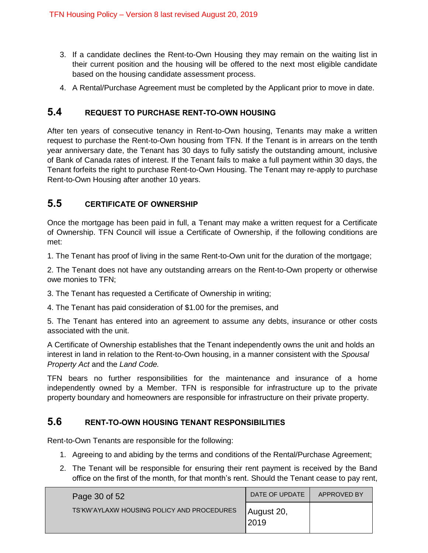- 3. If a candidate declines the Rent-to-Own Housing they may remain on the waiting list in their current position and the housing will be offered to the next most eligible candidate based on the housing candidate assessment process.
- 4. A Rental/Purchase Agreement must be completed by the Applicant prior to move in date.

# <span id="page-29-0"></span>**5.4 REQUEST TO PURCHASE RENT-TO-OWN HOUSING**

After ten years of consecutive tenancy in Rent-to-Own housing, Tenants may make a written request to purchase the Rent-to-Own housing from TFN. If the Tenant is in arrears on the tenth year anniversary date, the Tenant has 30 days to fully satisfy the outstanding amount, inclusive of Bank of Canada rates of interest. If the Tenant fails to make a full payment within 30 days, the Tenant forfeits the right to purchase Rent-to-Own Housing. The Tenant may re-apply to purchase Rent-to-Own Housing after another 10 years.

# <span id="page-29-1"></span>**5.5 CERTIFICATE OF OWNERSHIP**

Once the mortgage has been paid in full, a Tenant may make a written request for a Certificate of Ownership. TFN Council will issue a Certificate of Ownership, if the following conditions are met:

1. The Tenant has proof of living in the same Rent-to-Own unit for the duration of the mortgage;

2. The Tenant does not have any outstanding arrears on the Rent-to-Own property or otherwise owe monies to TFN;

3. The Tenant has requested a Certificate of Ownership in writing;

4. The Tenant has paid consideration of \$1.00 for the premises, and

5. The Tenant has entered into an agreement to assume any debts, insurance or other costs associated with the unit.

A Certificate of Ownership establishes that the Tenant independently owns the unit and holds an interest in land in relation to the Rent-to-Own housing, in a manner consistent with the *Spousal Property Act* and the *Land Code.* 

TFN bears no further responsibilities for the maintenance and insurance of a home independently owned by a Member. TFN is responsible for infrastructure up to the private property boundary and homeowners are responsible for infrastructure on their private property.

# <span id="page-29-2"></span>**5.6 RENT-TO-OWN HOUSING TENANT RESPONSIBILITIES**

Rent-to-Own Tenants are responsible for the following:

- 1. Agreeing to and abiding by the terms and conditions of the Rental/Purchase Agreement;
- 2. The Tenant will be responsible for ensuring their rent payment is received by the Band office on the first of the month, for that month's rent. Should the Tenant cease to pay rent,

| Page 30 of 52                              | DATE OF UPDATE     | APPROVED BY |
|--------------------------------------------|--------------------|-------------|
| TS'KW'AYLAXW HOUSING POLICY AND PROCEDURES | August 20,<br>2019 |             |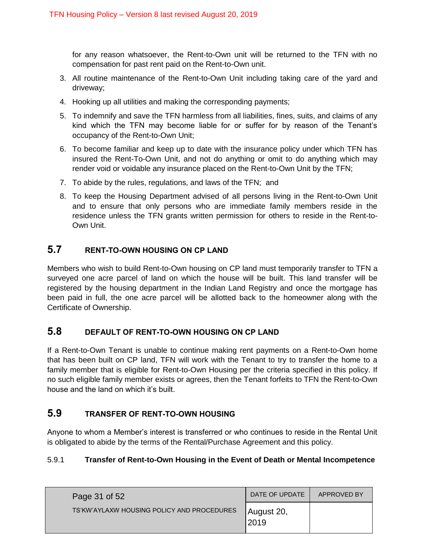for any reason whatsoever, the Rent-to-Own unit will be returned to the TFN with no compensation for past rent paid on the Rent-to-Own unit.

- 3. All routine maintenance of the Rent-to-Own Unit including taking care of the yard and driveway;
- 4. Hooking up all utilities and making the corresponding payments;
- 5. To indemnify and save the TFN harmless from all liabilities, fines, suits, and claims of any kind which the TFN may become liable for or suffer for by reason of the Tenant's occupancy of the Rent-to-Own Unit;
- 6. To become familiar and keep up to date with the insurance policy under which TFN has insured the Rent-To-Own Unit, and not do anything or omit to do anything which may render void or voidable any insurance placed on the Rent-to-Own Unit by the TFN;
- 7. To abide by the rules, regulations, and laws of the TFN; and
- 8. To keep the Housing Department advised of all persons living in the Rent-to-Own Unit and to ensure that only persons who are immediate family members reside in the residence unless the TFN grants written permission for others to reside in the Rent-to-Own Unit.

# <span id="page-30-0"></span>**5.7 RENT-TO-OWN HOUSING ON CP LAND**

Members who wish to build Rent-to-Own housing on CP land must temporarily transfer to TFN a surveyed one acre parcel of land on which the house will be built. This land transfer will be registered by the housing department in the Indian Land Registry and once the mortgage has been paid in full, the one acre parcel will be allotted back to the homeowner along with the Certificate of Ownership.

# <span id="page-30-1"></span>**5.8 DEFAULT OF RENT-TO-OWN HOUSING ON CP LAND**

If a Rent-to-Own Tenant is unable to continue making rent payments on a Rent-to-Own home that has been built on CP land, TFN will work with the Tenant to try to transfer the home to a family member that is eligible for Rent-to-Own Housing per the criteria specified in this policy. If no such eligible family member exists or agrees, then the Tenant forfeits to TFN the Rent-to-Own house and the land on which it's built.

# <span id="page-30-2"></span>**5.9 TRANSFER OF RENT-TO-OWN HOUSING**

Anyone to whom a Member's interest is transferred or who continues to reside in the Rental Unit is obligated to abide by the terms of the Rental/Purchase Agreement and this policy.

# <span id="page-30-3"></span>5.9.1 **Transfer of Rent-to-Own Housing in the Event of Death or Mental Incompetence**

| Page 31 of 52                              | DATE OF UPDATE      | APPROVED BY |
|--------------------------------------------|---------------------|-------------|
| TS'KW'AYLAXW HOUSING POLICY AND PROCEDURES | August 20,<br> 2019 |             |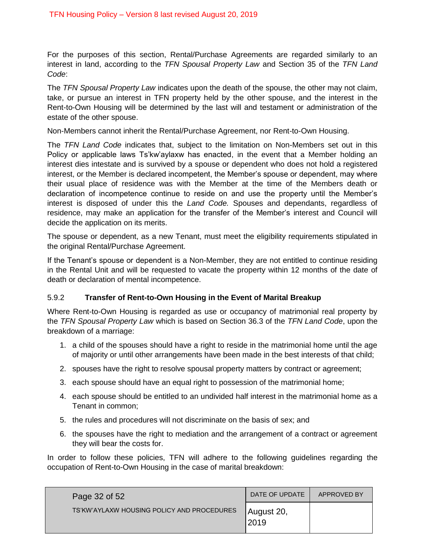For the purposes of this section, Rental/Purchase Agreements are regarded similarly to an interest in land, according to the *TFN Spousal Property Law* and Section 35 of the *TFN Land Code*:

The *TFN Spousal Property Law* indicates upon the death of the spouse, the other may not claim, take, or pursue an interest in TFN property held by the other spouse, and the interest in the Rent-to-Own Housing will be determined by the last will and testament or administration of the estate of the other spouse.

Non-Members cannot inherit the Rental/Purchase Agreement, nor Rent-to-Own Housing.

The *TFN Land Code* indicates that, subject to the limitation on Non-Members set out in this Policy or applicable laws Ts'kw'aylaxw has enacted, in the event that a Member holding an interest dies intestate and is survived by a spouse or dependent who does not hold a registered interest, or the Member is declared incompetent, the Member's spouse or dependent, may where their usual place of residence was with the Member at the time of the Members death or declaration of incompetence continue to reside on and use the property until the Member's interest is disposed of under this the *Land Code.* Spouses and dependants, regardless of residence, may make an application for the transfer of the Member's interest and Council will decide the application on its merits.

The spouse or dependent, as a new Tenant, must meet the eligibility requirements stipulated in the original Rental/Purchase Agreement.

If the Tenant's spouse or dependent is a Non-Member, they are not entitled to continue residing in the Rental Unit and will be requested to vacate the property within 12 months of the date of death or declaration of mental incompetence.

### <span id="page-31-0"></span>5.9.2 **Transfer of Rent-to-Own Housing in the Event of Marital Breakup**

Where Rent-to-Own Housing is regarded as use or occupancy of matrimonial real property by the *TFN Spousal Property Law* which is based on Section 36.3 of the *TFN Land Code*, upon the breakdown of a marriage:

- 1. a child of the spouses should have a right to reside in the matrimonial home until the age of majority or until other arrangements have been made in the best interests of that child;
- 2. spouses have the right to resolve spousal property matters by contract or agreement;
- 3. each spouse should have an equal right to possession of the matrimonial home;
- 4. each spouse should be entitled to an undivided half interest in the matrimonial home as a Tenant in common;
- 5. the rules and procedures will not discriminate on the basis of sex; and
- 6. the spouses have the right to mediation and the arrangement of a contract or agreement they will bear the costs for.

In order to follow these policies, TFN will adhere to the following guidelines regarding the occupation of Rent-to-Own Housing in the case of marital breakdown:

| Page 32 of 52                              | DATE OF UPDATE      | APPROVED BY |
|--------------------------------------------|---------------------|-------------|
| TS'KW'AYLAXW HOUSING POLICY AND PROCEDURES | August 20,<br> 2019 |             |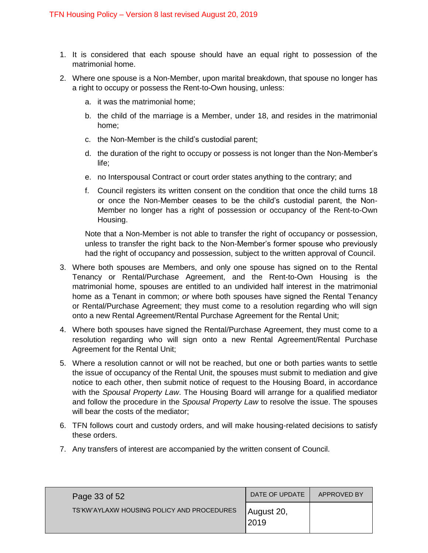- 1. It is considered that each spouse should have an equal right to possession of the matrimonial home.
- 2. Where one spouse is a Non-Member, upon marital breakdown, that spouse no longer has a right to occupy or possess the Rent-to-Own housing, unless:
	- a. it was the matrimonial home;
	- b. the child of the marriage is a Member, under 18, and resides in the matrimonial home;
	- c. the Non-Member is the child's custodial parent;
	- d. the duration of the right to occupy or possess is not longer than the Non-Member's life;
	- e. no Interspousal Contract or court order states anything to the contrary; and
	- f. Council registers its written consent on the condition that once the child turns 18 or once the Non-Member ceases to be the child's custodial parent, the Non-Member no longer has a right of possession or occupancy of the Rent-to-Own Housing.

Note that a Non-Member is not able to transfer the right of occupancy or possession, unless to transfer the right back to the Non-Member's former spouse who previously had the right of occupancy and possession, subject to the written approval of Council.

- 3. Where both spouses are Members, and only one spouse has signed on to the Rental Tenancy or Rental/Purchase Agreement, and the Rent-to-Own Housing is the matrimonial home, spouses are entitled to an undivided half interest in the matrimonial home as a Tenant in common; *or* where both spouses have signed the Rental Tenancy or Rental/Purchase Agreement; they must come to a resolution regarding who will sign onto a new Rental Agreement/Rental Purchase Agreement for the Rental Unit;
- 4. Where both spouses have signed the Rental/Purchase Agreement, they must come to a resolution regarding who will sign onto a new Rental Agreement/Rental Purchase Agreement for the Rental Unit;
- 5. Where a resolution cannot or will not be reached, but one or both parties wants to settle the issue of occupancy of the Rental Unit, the spouses must submit to mediation and give notice to each other, then submit notice of request to the Housing Board, in accordance with the *Spousal Property Law*. The Housing Board will arrange for a qualified mediator and follow the procedure in the *Spousal Property Law* to resolve the issue. The spouses will bear the costs of the mediator;
- 6. TFN follows court and custody orders, and will make housing-related decisions to satisfy these orders.
- 7. Any transfers of interest are accompanied by the written consent of Council.

| Page 33 of 52                              | DATE OF UPDATE      | APPROVED BY |
|--------------------------------------------|---------------------|-------------|
| TS'KW'AYLAXW HOUSING POLICY AND PROCEDURES | August 20,<br> 2019 |             |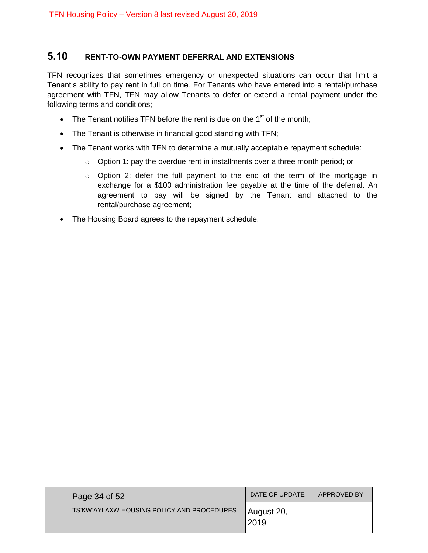# <span id="page-33-0"></span>**5.10 RENT-TO-OWN PAYMENT DEFERRAL AND EXTENSIONS**

TFN recognizes that sometimes emergency or unexpected situations can occur that limit a Tenant's ability to pay rent in full on time. For Tenants who have entered into a rental/purchase agreement with TFN, TFN may allow Tenants to defer or extend a rental payment under the following terms and conditions;

- The Tenant notifies TFN before the rent is due on the  $1<sup>st</sup>$  of the month:
- The Tenant is otherwise in financial good standing with TFN;
- The Tenant works with TFN to determine a mutually acceptable repayment schedule:
	- $\circ$  Option 1: pay the overdue rent in installments over a three month period; or
	- $\circ$  Option 2: defer the full payment to the end of the term of the mortgage in exchange for a \$100 administration fee payable at the time of the deferral. An agreement to pay will be signed by the Tenant and attached to the rental/purchase agreement;
- The Housing Board agrees to the repayment schedule.

| Page 34 of 52                              | DATE OF UPDATE     | APPROVED BY |
|--------------------------------------------|--------------------|-------------|
| TS'KW'AYLAXW HOUSING POLICY AND PROCEDURES | August 20,<br>2019 |             |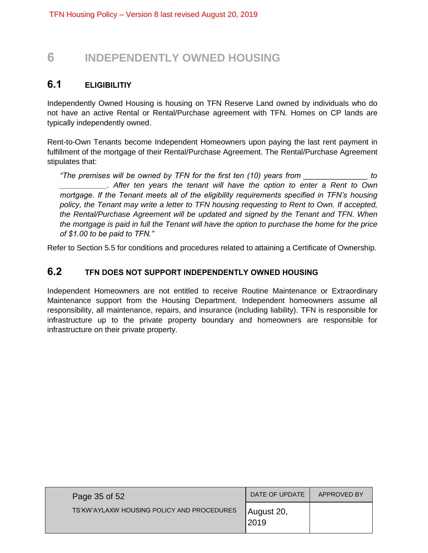# <span id="page-34-0"></span>**6 INDEPENDENTLY OWNED HOUSING**

# <span id="page-34-1"></span>**6.1 ELIGIBILITIY**

Independently Owned Housing is housing on TFN Reserve Land owned by individuals who do not have an active Rental or Rental/Purchase agreement with TFN. Homes on CP lands are typically independently owned.

Rent-to-Own Tenants become Independent Homeowners upon paying the last rent payment in fulfillment of the mortgage of their Rental/Purchase Agreement. The Rental/Purchase Agreement stipulates that:

*"The premises will be owned by TFN for the first ten (10) years from \_\_\_\_\_\_\_\_\_\_\_\_\_\_\_ to \_\_\_\_\_\_\_\_\_\_\_. After ten years the tenant will have the option to enter a Rent to Own mortgage. If the Tenant meets all of the eligibility requirements specified in TFN's housing*  policy, the Tenant may write a letter to TFN housing requesting to Rent to Own. If accepted, *the Rental/Purchase Agreement will be updated and signed by the Tenant and TFN. When the mortgage is paid in full the Tenant will have the option to purchase the home for the price of \$1.00 to be paid to TFN."* 

Refer to Section 5.5 for conditions and procedures related to attaining a Certificate of Ownership.

# <span id="page-34-2"></span>**6.2 TFN DOES NOT SUPPORT INDEPENDENTLY OWNED HOUSING**

Independent Homeowners are not entitled to receive Routine Maintenance or Extraordinary Maintenance support from the Housing Department. Independent homeowners assume all responsibility, all maintenance, repairs, and insurance (including liability). TFN is responsible for infrastructure up to the private property boundary and homeowners are responsible for infrastructure on their private property.

| Page 35 of 52                              | DATE OF UPDATE     | APPROVED BY |
|--------------------------------------------|--------------------|-------------|
| TS'KW'AYLAXW HOUSING POLICY AND PROCEDURES | August 20,<br>2019 |             |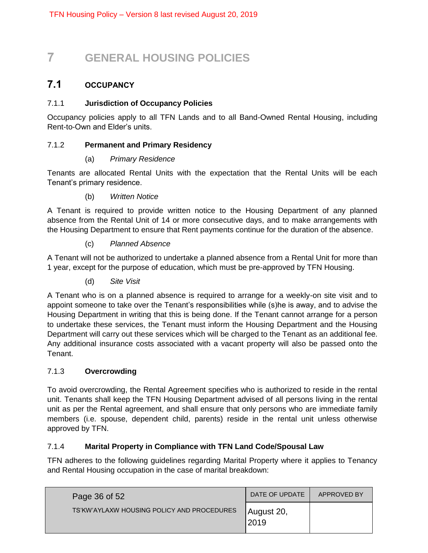# <span id="page-35-0"></span>**7 GENERAL HOUSING POLICIES**

# <span id="page-35-1"></span>**7.1 OCCUPANCY**

# <span id="page-35-2"></span>7.1.1 **Jurisdiction of Occupancy Policies**

Occupancy policies apply to all TFN Lands and to all Band-Owned Rental Housing, including Rent-to-Own and Elder's units.

# <span id="page-35-3"></span>7.1.2 **Permanent and Primary Residency**

# (a) *Primary Residence*

Tenants are allocated Rental Units with the expectation that the Rental Units will be each Tenant's primary residence.

(b) *Written Notice*

A Tenant is required to provide written notice to the Housing Department of any planned absence from the Rental Unit of 14 or more consecutive days, and to make arrangements with the Housing Department to ensure that Rent payments continue for the duration of the absence.

# (c) *Planned Absence*

A Tenant will not be authorized to undertake a planned absence from a Rental Unit for more than 1 year, except for the purpose of education, which must be pre-approved by TFN Housing.

(d) *Site Visit*

A Tenant who is on a planned absence is required to arrange for a weekly-on site visit and to appoint someone to take over the Tenant's responsibilities while (s)he is away, and to advise the Housing Department in writing that this is being done. If the Tenant cannot arrange for a person to undertake these services, the Tenant must inform the Housing Department and the Housing Department will carry out these services which will be charged to the Tenant as an additional fee. Any additional insurance costs associated with a vacant property will also be passed onto the Tenant.

# <span id="page-35-4"></span>7.1.3 **Overcrowding**

To avoid overcrowding, the Rental Agreement specifies who is authorized to reside in the rental unit. Tenants shall keep the TFN Housing Department advised of all persons living in the rental unit as per the Rental agreement, and shall ensure that only persons who are immediate family members (i.e. spouse, dependent child, parents) reside in the rental unit unless otherwise approved by TFN.

# <span id="page-35-5"></span>7.1.4 **Marital Property in Compliance with TFN Land Code/Spousal Law**

TFN adheres to the following guidelines regarding Marital Property where it applies to Tenancy and Rental Housing occupation in the case of marital breakdown:

| Page 36 of 52                              | DATE OF UPDATE     | APPROVED BY |
|--------------------------------------------|--------------------|-------------|
| TS'KW'AYLAXW HOUSING POLICY AND PROCEDURES | August 20,<br>2019 |             |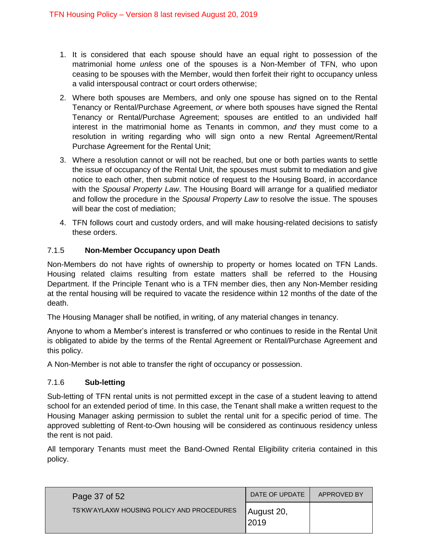- 1. It is considered that each spouse should have an equal right to possession of the matrimonial home *unless* one of the spouses is a Non-Member of TFN, who upon ceasing to be spouses with the Member, would then forfeit their right to occupancy unless a valid interspousal contract or court orders otherwise;
- 2. Where both spouses are Members, and only one spouse has signed on to the Rental Tenancy or Rental/Purchase Agreement, *or* where both spouses have signed the Rental Tenancy or Rental/Purchase Agreement; spouses are entitled to an undivided half interest in the matrimonial home as Tenants in common, *and* they must come to a resolution in writing regarding who will sign onto a new Rental Agreement/Rental Purchase Agreement for the Rental Unit;
- 3. Where a resolution cannot or will not be reached, but one or both parties wants to settle the issue of occupancy of the Rental Unit, the spouses must submit to mediation and give notice to each other, then submit notice of request to the Housing Board, in accordance with the *Spousal Property Law*. The Housing Board will arrange for a qualified mediator and follow the procedure in the *Spousal Property Law* to resolve the issue. The spouses will bear the cost of mediation;
- 4. TFN follows court and custody orders, and will make housing-related decisions to satisfy these orders.

# <span id="page-36-0"></span>7.1.5 **Non-Member Occupancy upon Death**

Non-Members do not have rights of ownership to property or homes located on TFN Lands. Housing related claims resulting from estate matters shall be referred to the Housing Department. If the Principle Tenant who is a TFN member dies, then any Non-Member residing at the rental housing will be required to vacate the residence within 12 months of the date of the death.

The Housing Manager shall be notified, in writing, of any material changes in tenancy.

Anyone to whom a Member's interest is transferred or who continues to reside in the Rental Unit is obligated to abide by the terms of the Rental Agreement or Rental/Purchase Agreement and this policy.

A Non-Member is not able to transfer the right of occupancy or possession.

### <span id="page-36-1"></span>7.1.6 **Sub-letting**

Sub-letting of TFN rental units is not permitted except in the case of a student leaving to attend school for an extended period of time. In this case, the Tenant shall make a written request to the Housing Manager asking permission to sublet the rental unit for a specific period of time. The approved subletting of Rent-to-Own housing will be considered as continuous residency unless the rent is not paid.

All temporary Tenants must meet the Band-Owned Rental Eligibility criteria contained in this policy.

| Page 37 of 52                              | DATE OF UPDATE      | APPROVED BY |
|--------------------------------------------|---------------------|-------------|
| TS'KW'AYLAXW HOUSING POLICY AND PROCEDURES | August 20,<br>12019 |             |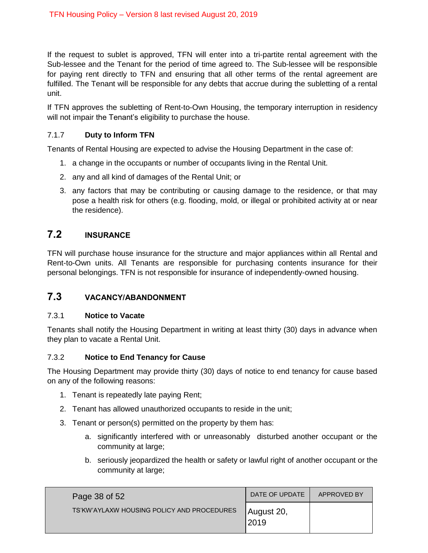If the request to sublet is approved, TFN will enter into a tri-partite rental agreement with the Sub-lessee and the Tenant for the period of time agreed to. The Sub-lessee will be responsible for paying rent directly to TFN and ensuring that all other terms of the rental agreement are fulfilled. The Tenant will be responsible for any debts that accrue during the subletting of a rental unit.

If TFN approves the subletting of Rent-to-Own Housing, the temporary interruption in residency will not impair the Tenant's eligibility to purchase the house.

# <span id="page-37-0"></span>7.1.7 **Duty to Inform TFN**

Tenants of Rental Housing are expected to advise the Housing Department in the case of:

- 1. a change in the occupants or number of occupants living in the Rental Unit.
- 2. any and all kind of damages of the Rental Unit; or
- 3. any factors that may be contributing or causing damage to the residence, or that may pose a health risk for others (e.g. flooding, mold, or illegal or prohibited activity at or near the residence).

# <span id="page-37-1"></span>**7.2 INSURANCE**

TFN will purchase house insurance for the structure and major appliances within all Rental and Rent-to-Own units. All Tenants are responsible for purchasing contents insurance for their personal belongings. TFN is not responsible for insurance of independently-owned housing.

# <span id="page-37-2"></span>**7.3 VACANCY/ABANDONMENT**

### <span id="page-37-3"></span>7.3.1 **Notice to Vacate**

Tenants shall notify the Housing Department in writing at least thirty (30) days in advance when they plan to vacate a Rental Unit.

### <span id="page-37-4"></span>7.3.2 **Notice to End Tenancy for Cause**

The Housing Department may provide thirty (30) days of notice to end tenancy for cause based on any of the following reasons:

- 1. Tenant is repeatedly late paying Rent;
- 2. Tenant has allowed unauthorized occupants to reside in the unit;
- 3. Tenant or person(s) permitted on the property by them has:
	- a. significantly interfered with or unreasonably disturbed another occupant or the community at large;
	- b. seriously jeopardized the health or safety or lawful right of another occupant or the community at large;

| Page 38 of 52                              | DATE OF UPDATE      | APPROVED BY |
|--------------------------------------------|---------------------|-------------|
| TS'KW'AYLAXW HOUSING POLICY AND PROCEDURES | August 20,<br> 2019 |             |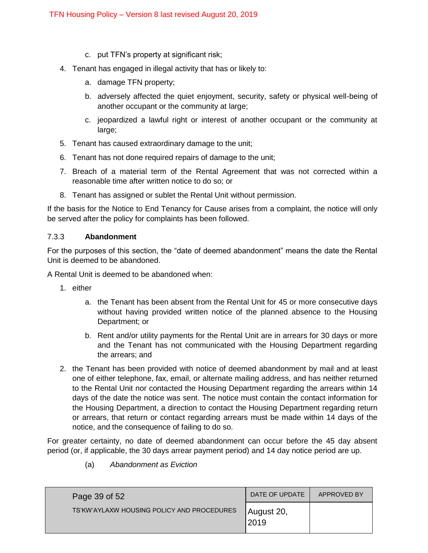- c. put TFN's property at significant risk;
- 4. Tenant has engaged in illegal activity that has or likely to:
	- a. damage TFN property;
	- b. adversely affected the quiet enjoyment, security, safety or physical well-being of another occupant or the community at large;
	- c. jeopardized a lawful right or interest of another occupant or the community at large;
- 5. Tenant has caused extraordinary damage to the unit;
- 6. Tenant has not done required repairs of damage to the unit;
- 7. Breach of a material term of the Rental Agreement that was not corrected within a reasonable time after written notice to do so; or
- 8. Tenant has assigned or sublet the Rental Unit without permission.

If the basis for the Notice to End Tenancy for Cause arises from a complaint, the notice will only be served after the policy for complaints has been followed.

### <span id="page-38-0"></span>7.3.3 **Abandonment**

For the purposes of this section, the "date of deemed abandonment" means the date the Rental Unit is deemed to be abandoned.

A Rental Unit is deemed to be abandoned when:

- 1. either
	- a. the Tenant has been absent from the Rental Unit for 45 or more consecutive days without having provided written notice of the planned absence to the Housing Department; or
	- b. Rent and/or utility payments for the Rental Unit are in arrears for 30 days or more and the Tenant has not communicated with the Housing Department regarding the arrears; and
- 2. the Tenant has been provided with notice of deemed abandonment by mail and at least one of either telephone, fax, email, or alternate mailing address, and has neither returned to the Rental Unit nor contacted the Housing Department regarding the arrears within 14 days of the date the notice was sent. The notice must contain the contact information for the Housing Department, a direction to contact the Housing Department regarding return or arrears, that return or contact regarding arrears must be made within 14 days of the notice, and the consequence of failing to do so.

For greater certainty, no date of deemed abandonment can occur before the 45 day absent period (or, if applicable, the 30 days arrear payment period) and 14 day notice period are up.

- Page 39 of 52 TS'KW'AYLAXW HOUSING POLICY AND PROCEDURES DATE OF UPDATE | APPROVED BY August 20, 2019
- (a) *Abandonment as Eviction*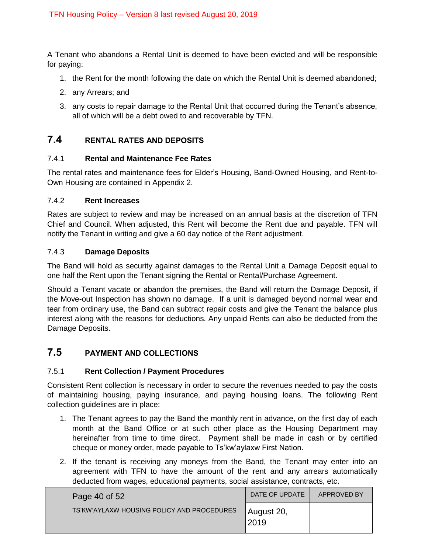A Tenant who abandons a Rental Unit is deemed to have been evicted and will be responsible for paying:

- 1. the Rent for the month following the date on which the Rental Unit is deemed abandoned;
- 2. any Arrears; and
- 3. any costs to repair damage to the Rental Unit that occurred during the Tenant's absence, all of which will be a debt owed to and recoverable by TFN.

# <span id="page-39-0"></span>**7.4 RENTAL RATES AND DEPOSITS**

### <span id="page-39-1"></span>7.4.1 **Rental and Maintenance Fee Rates**

The rental rates and maintenance fees for Elder's Housing, Band-Owned Housing, and Rent-to-Own Housing are contained in Appendix 2.

### <span id="page-39-2"></span>7.4.2 **Rent Increases**

Rates are subject to review and may be increased on an annual basis at the discretion of TFN Chief and Council. When adjusted, this Rent will become the Rent due and payable. TFN will notify the Tenant in writing and give a 60 day notice of the Rent adjustment.

### <span id="page-39-3"></span>7.4.3 **Damage Deposits**

The Band will hold as security against damages to the Rental Unit a Damage Deposit equal to one half the Rent upon the Tenant signing the Rental or Rental/Purchase Agreement.

Should a Tenant vacate or abandon the premises, the Band will return the Damage Deposit, if the Move-out Inspection has shown no damage. If a unit is damaged beyond normal wear and tear from ordinary use, the Band can subtract repair costs and give the Tenant the balance plus interest along with the reasons for deductions. Any unpaid Rents can also be deducted from the Damage Deposits.

# <span id="page-39-4"></span>**7.5 PAYMENT AND COLLECTIONS**

### <span id="page-39-5"></span>7.5.1 **Rent Collection / Payment Procedures**

Consistent Rent collection is necessary in order to secure the revenues needed to pay the costs of maintaining housing, paying insurance, and paying housing loans. The following Rent collection guidelines are in place:

- 1. The Tenant agrees to pay the Band the monthly rent in advance, on the first day of each month at the Band Office or at such other place as the Housing Department may hereinafter from time to time direct. Payment shall be made in cash or by certified cheque or money order, made payable to Ts'kw'aylaxw First Nation.
- 2. If the tenant is receiving any moneys from the Band, the Tenant may enter into an agreement with TFN to have the amount of the rent and any arrears automatically deducted from wages, educational payments, social assistance, contracts, etc.

| Page 40 of 52                              | DATE OF UPDATE     | APPROVED BY |
|--------------------------------------------|--------------------|-------------|
| TS'KW'AYLAXW HOUSING POLICY AND PROCEDURES | August 20,<br>2019 |             |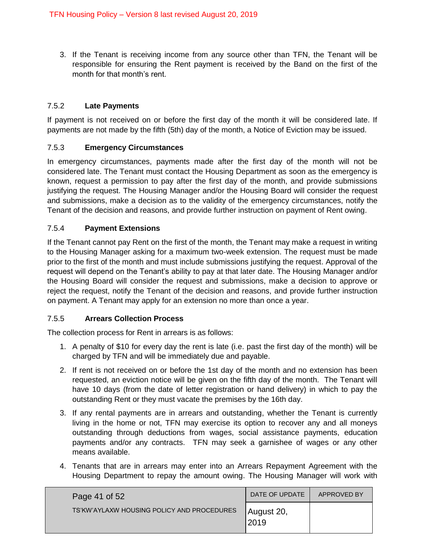3. If the Tenant is receiving income from any source other than TFN, the Tenant will be responsible for ensuring the Rent payment is received by the Band on the first of the month for that month's rent.

# <span id="page-40-0"></span>7.5.2 **Late Payments**

If payment is not received on or before the first day of the month it will be considered late. If payments are not made by the fifth (5th) day of the month, a Notice of Eviction may be issued.

### <span id="page-40-1"></span>7.5.3 **Emergency Circumstances**

In emergency circumstances, payments made after the first day of the month will not be considered late. The Tenant must contact the Housing Department as soon as the emergency is known, request a permission to pay after the first day of the month, and provide submissions justifying the request. The Housing Manager and/or the Housing Board will consider the request and submissions, make a decision as to the validity of the emergency circumstances, notify the Tenant of the decision and reasons, and provide further instruction on payment of Rent owing.

# <span id="page-40-2"></span>7.5.4 **Payment Extensions**

If the Tenant cannot pay Rent on the first of the month, the Tenant may make a request in writing to the Housing Manager asking for a maximum two-week extension. The request must be made prior to the first of the month and must include submissions justifying the request. Approval of the request will depend on the Tenant's ability to pay at that later date. The Housing Manager and/or the Housing Board will consider the request and submissions, make a decision to approve or reject the request, notify the Tenant of the decision and reasons, and provide further instruction on payment. A Tenant may apply for an extension no more than once a year.

# <span id="page-40-3"></span>7.5.5 **Arrears Collection Process**

The collection process for Rent in arrears is as follows:

- 1. A penalty of \$10 for every day the rent is late (i.e. past the first day of the month) will be charged by TFN and will be immediately due and payable.
- 2. If rent is not received on or before the 1st day of the month and no extension has been requested, an eviction notice will be given on the fifth day of the month. The Tenant will have 10 days (from the date of letter registration or hand delivery) in which to pay the outstanding Rent or they must vacate the premises by the 16th day.
- 3. If any rental payments are in arrears and outstanding, whether the Tenant is currently living in the home or not, TFN may exercise its option to recover any and all moneys outstanding through deductions from wages, social assistance payments, education payments and/or any contracts. TFN may seek a garnishee of wages or any other means available.
- 4. Tenants that are in arrears may enter into an Arrears Repayment Agreement with the Housing Department to repay the amount owing. The Housing Manager will work with

| Page 41 of 52                              | DATE OF UPDATE      | APPROVED BY |
|--------------------------------------------|---------------------|-------------|
| TS'KW'AYLAXW HOUSING POLICY AND PROCEDURES | August 20,<br>12019 |             |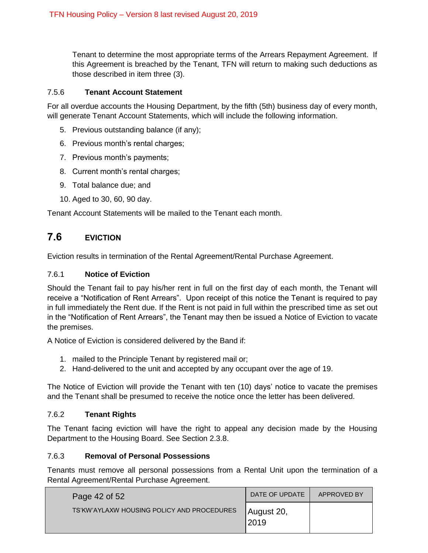Tenant to determine the most appropriate terms of the Arrears Repayment Agreement. If this Agreement is breached by the Tenant, TFN will return to making such deductions as those described in item three (3).

# <span id="page-41-0"></span>7.5.6 **Tenant Account Statement**

For all overdue accounts the Housing Department, by the fifth (5th) business day of every month, will generate Tenant Account Statements, which will include the following information.

- 5. Previous outstanding balance (if any);
- 6. Previous month's rental charges;
- 7. Previous month's payments;
- 8. Current month's rental charges;
- 9. Total balance due; and
- 10. Aged to 30, 60, 90 day.

Tenant Account Statements will be mailed to the Tenant each month.

# <span id="page-41-1"></span>**7.6 EVICTION**

Eviction results in termination of the Rental Agreement/Rental Purchase Agreement.

## <span id="page-41-2"></span>7.6.1 **Notice of Eviction**

Should the Tenant fail to pay his/her rent in full on the first day of each month, the Tenant will receive a "Notification of Rent Arrears". Upon receipt of this notice the Tenant is required to pay in full immediately the Rent due. If the Rent is not paid in full within the prescribed time as set out in the "Notification of Rent Arrears", the Tenant may then be issued a Notice of Eviction to vacate the premises.

A Notice of Eviction is considered delivered by the Band if:

- 1. mailed to the Principle Tenant by registered mail or;
- 2. Hand-delivered to the unit and accepted by any occupant over the age of 19.

The Notice of Eviction will provide the Tenant with ten (10) days' notice to vacate the premises and the Tenant shall be presumed to receive the notice once the letter has been delivered.

### <span id="page-41-3"></span>7.6.2 **Tenant Rights**

The Tenant facing eviction will have the right to appeal any decision made by the Housing Department to the Housing Board. See Section 2.3.8.

### <span id="page-41-4"></span>7.6.3 **Removal of Personal Possessions**

Tenants must remove all personal possessions from a Rental Unit upon the termination of a Rental Agreement/Rental Purchase Agreement.

| Page 42 of 52                              | DATE OF UPDATE      | APPROVED BY |
|--------------------------------------------|---------------------|-------------|
| TS'KW'AYLAXW HOUSING POLICY AND PROCEDURES | August 20,<br> 2019 |             |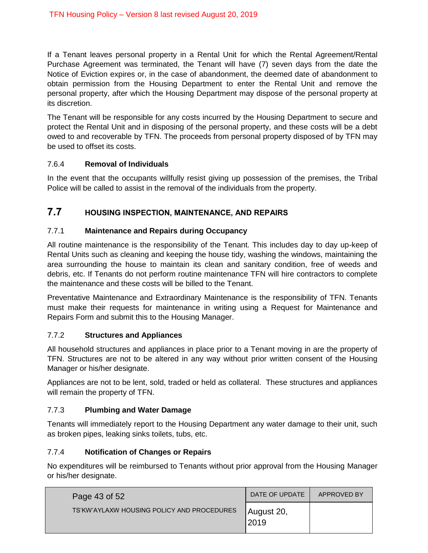If a Tenant leaves personal property in a Rental Unit for which the Rental Agreement/Rental Purchase Agreement was terminated, the Tenant will have (7) seven days from the date the Notice of Eviction expires or, in the case of abandonment, the deemed date of abandonment to obtain permission from the Housing Department to enter the Rental Unit and remove the personal property, after which the Housing Department may dispose of the personal property at its discretion.

The Tenant will be responsible for any costs incurred by the Housing Department to secure and protect the Rental Unit and in disposing of the personal property, and these costs will be a debt owed to and recoverable by TFN. The proceeds from personal property disposed of by TFN may be used to offset its costs.

# <span id="page-42-0"></span>7.6.4 **Removal of Individuals**

In the event that the occupants willfully resist giving up possession of the premises, the Tribal Police will be called to assist in the removal of the individuals from the property.

# <span id="page-42-1"></span>**7.7 HOUSING INSPECTION, MAINTENANCE, AND REPAIRS**

# <span id="page-42-2"></span>7.7.1 **Maintenance and Repairs during Occupancy**

All routine maintenance is the responsibility of the Tenant. This includes day to day up-keep of Rental Units such as cleaning and keeping the house tidy, washing the windows, maintaining the area surrounding the house to maintain its clean and sanitary condition, free of weeds and debris, etc. If Tenants do not perform routine maintenance TFN will hire contractors to complete the maintenance and these costs will be billed to the Tenant.

Preventative Maintenance and Extraordinary Maintenance is the responsibility of TFN. Tenants must make their requests for maintenance in writing using a Request for Maintenance and Repairs Form and submit this to the Housing Manager.

### <span id="page-42-3"></span>7.7.2 **Structures and Appliances**

All household structures and appliances in place prior to a Tenant moving in are the property of TFN. Structures are not to be altered in any way without prior written consent of the Housing Manager or his/her designate.

Appliances are not to be lent, sold, traded or held as collateral. These structures and appliances will remain the property of TFN.

# <span id="page-42-4"></span>7.7.3 **Plumbing and Water Damage**

Tenants will immediately report to the Housing Department any water damage to their unit, such as broken pipes, leaking sinks toilets, tubs, etc.

# <span id="page-42-5"></span>7.7.4 **Notification of Changes or Repairs**

No expenditures will be reimbursed to Tenants without prior approval from the Housing Manager or his/her designate.

| Page 43 of 52                              | DATE OF UPDATE     | APPROVED BY |
|--------------------------------------------|--------------------|-------------|
| TS'KW'AYLAXW HOUSING POLICY AND PROCEDURES | August 20,<br>2019 |             |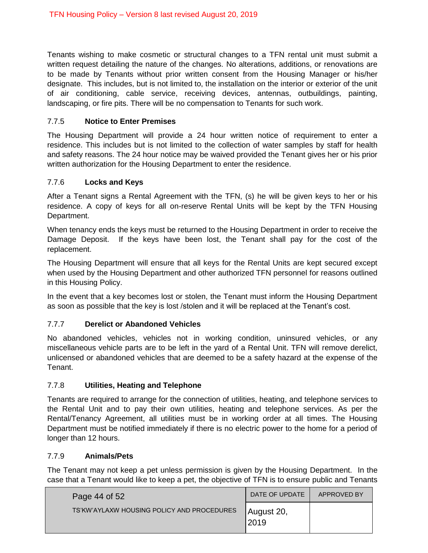Tenants wishing to make cosmetic or structural changes to a TFN rental unit must submit a written request detailing the nature of the changes. No alterations, additions, or renovations are to be made by Tenants without prior written consent from the Housing Manager or his/her designate. This includes, but is not limited to, the installation on the interior or exterior of the unit of air conditioning, cable service, receiving devices, antennas, outbuildings, painting, landscaping, or fire pits. There will be no compensation to Tenants for such work.

# <span id="page-43-0"></span>7.7.5 **Notice to Enter Premises**

The Housing Department will provide a 24 hour written notice of requirement to enter a residence. This includes but is not limited to the collection of water samples by staff for health and safety reasons. The 24 hour notice may be waived provided the Tenant gives her or his prior written authorization for the Housing Department to enter the residence.

# <span id="page-43-1"></span>7.7.6 **Locks and Keys**

After a Tenant signs a Rental Agreement with the TFN, (s) he will be given keys to her or his residence. A copy of keys for all on-reserve Rental Units will be kept by the TFN Housing Department.

When tenancy ends the keys must be returned to the Housing Department in order to receive the Damage Deposit. If the keys have been lost, the Tenant shall pay for the cost of the replacement.

The Housing Department will ensure that all keys for the Rental Units are kept secured except when used by the Housing Department and other authorized TFN personnel for reasons outlined in this Housing Policy.

In the event that a key becomes lost or stolen, the Tenant must inform the Housing Department as soon as possible that the key is lost /stolen and it will be replaced at the Tenant's cost.

# <span id="page-43-2"></span>7.7.7 **Derelict or Abandoned Vehicles**

No abandoned vehicles, vehicles not in working condition, uninsured vehicles, or any miscellaneous vehicle parts are to be left in the yard of a Rental Unit. TFN will remove derelict, unlicensed or abandoned vehicles that are deemed to be a safety hazard at the expense of the Tenant.

### <span id="page-43-3"></span>7.7.8 **Utilities, Heating and Telephone**

Tenants are required to arrange for the connection of utilities, heating, and telephone services to the Rental Unit and to pay their own utilities, heating and telephone services. As per the Rental/Tenancy Agreement, all utilities must be in working order at all times. The Housing Department must be notified immediately if there is no electric power to the home for a period of longer than 12 hours.

### <span id="page-43-4"></span>7.7.9 **Animals/Pets**

The Tenant may not keep a pet unless permission is given by the Housing Department. In the case that a Tenant would like to keep a pet, the objective of TFN is to ensure public and Tenants

| Page 44 of 52                              | DATE OF UPDATE     | APPROVED BY |
|--------------------------------------------|--------------------|-------------|
| TS'KW'AYLAXW HOUSING POLICY AND PROCEDURES | August 20,<br>2019 |             |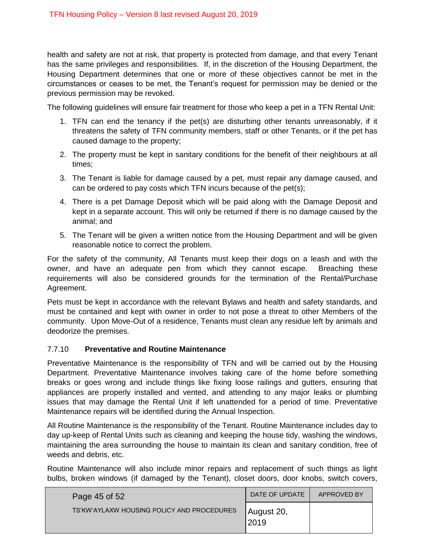health and safety are not at risk, that property is protected from damage, and that every Tenant has the same privileges and responsibilities. If, in the discretion of the Housing Department, the Housing Department determines that one or more of these objectives cannot be met in the circumstances or ceases to be met, the Tenant's request for permission may be denied or the previous permission may be revoked.

The following guidelines will ensure fair treatment for those who keep a pet in a TFN Rental Unit:

- 1. TFN can end the tenancy if the pet(s) are disturbing other tenants unreasonably, if it threatens the safety of TFN community members, staff or other Tenants, or if the pet has caused damage to the property;
- 2. The property must be kept in sanitary conditions for the benefit of their neighbours at all times;
- 3. The Tenant is liable for damage caused by a pet, must repair any damage caused, and can be ordered to pay costs which TFN incurs because of the pet(s);
- 4. There is a pet Damage Deposit which will be paid along with the Damage Deposit and kept in a separate account. This will only be returned if there is no damage caused by the animal; and
- 5. The Tenant will be given a written notice from the Housing Department and will be given reasonable notice to correct the problem.

For the safety of the community, All Tenants must keep their dogs on a leash and with the owner, and have an adequate pen from which they cannot escape. Breaching these requirements will also be considered grounds for the termination of the Rental/Purchase Agreement.

Pets must be kept in accordance with the relevant Bylaws and health and safety standards, and must be contained and kept with owner in order to not pose a threat to other Members of the community. Upon Move-Out of a residence, Tenants must clean any residue left by animals and deodorize the premises.

### <span id="page-44-0"></span>7.7.10 **Preventative and Routine Maintenance**

Preventative Maintenance is the responsibility of TFN and will be carried out by the Housing Department. Preventative Maintenance involves taking care of the home before something breaks or goes wrong and include things like fixing loose railings and gutters, ensuring that appliances are properly installed and vented, and attending to any major leaks or plumbing issues that may damage the Rental Unit if left unattended for a period of time. Preventative Maintenance repairs will be identified during the Annual Inspection.

All Routine Maintenance is the responsibility of the Tenant. Routine Maintenance includes day to day up-keep of Rental Units such as cleaning and keeping the house tidy, washing the windows, maintaining the area surrounding the house to maintain its clean and sanitary condition, free of weeds and debris, etc.

Routine Maintenance will also include minor repairs and replacement of such things as light bulbs, broken windows (if damaged by the Tenant), closet doors, door knobs, switch covers,

| Page 45 of 52                              | DATE OF UPDATE     | APPROVED BY |
|--------------------------------------------|--------------------|-------------|
| TS'KW'AYLAXW HOUSING POLICY AND PROCEDURES | August 20,<br>2019 |             |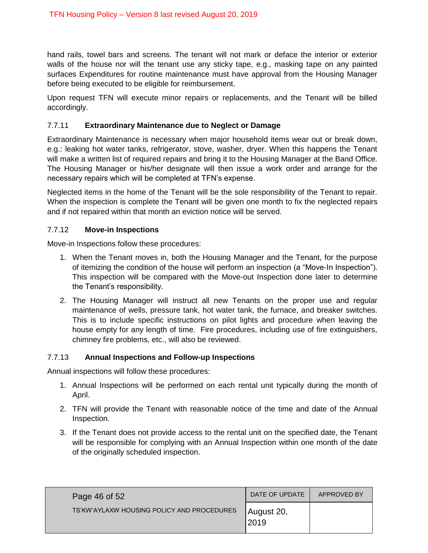hand rails, towel bars and screens. The tenant will not mark or deface the interior or exterior walls of the house nor will the tenant use any sticky tape, e.g., masking tape on any painted surfaces Expenditures for routine maintenance must have approval from the Housing Manager before being executed to be eligible for reimbursement.

Upon request TFN will execute minor repairs or replacements, and the Tenant will be billed accordingly.

# <span id="page-45-0"></span>7.7.11 **Extraordinary Maintenance due to Neglect or Damage**

Extraordinary Maintenance is necessary when major household items wear out or break down, e.g.: leaking hot water tanks, refrigerator, stove, washer, dryer. When this happens the Tenant will make a written list of required repairs and bring it to the Housing Manager at the Band Office. The Housing Manager or his/her designate will then issue a work order and arrange for the necessary repairs which will be completed at TFN's expense.

Neglected items in the home of the Tenant will be the sole responsibility of the Tenant to repair. When the inspection is complete the Tenant will be given one month to fix the neglected repairs and if not repaired within that month an eviction notice will be served.

### <span id="page-45-1"></span>7.7.12 **Move-in Inspections**

Move-in Inspections follow these procedures:

- 1. When the Tenant moves in, both the Housing Manager and the Tenant, for the purpose of itemizing the condition of the house will perform an inspection (a "Move-In Inspection"). This inspection will be compared with the Move-out Inspection done later to determine the Tenant's responsibility.
- 2. The Housing Manager will instruct all new Tenants on the proper use and regular maintenance of wells, pressure tank, hot water tank, the furnace, and breaker switches. This is to include specific instructions on pilot lights and procedure when leaving the house empty for any length of time. Fire procedures, including use of fire extinguishers, chimney fire problems, etc., will also be reviewed.

### <span id="page-45-2"></span>7.7.13 **Annual Inspections and Follow-up Inspections**

Annual inspections will follow these procedures:

- 1. Annual Inspections will be performed on each rental unit typically during the month of April.
- 2. TFN will provide the Tenant with reasonable notice of the time and date of the Annual Inspection.
- 3. If the Tenant does not provide access to the rental unit on the specified date, the Tenant will be responsible for complying with an Annual Inspection within one month of the date of the originally scheduled inspection.

| Page 46 of 52                              | DATE OF UPDATE      | APPROVED BY |
|--------------------------------------------|---------------------|-------------|
| TS'KW'AYLAXW HOUSING POLICY AND PROCEDURES | August 20,<br>12019 |             |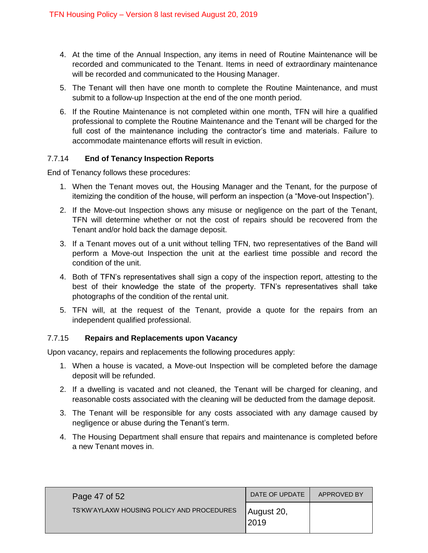- 4. At the time of the Annual Inspection, any items in need of Routine Maintenance will be recorded and communicated to the Tenant. Items in need of extraordinary maintenance will be recorded and communicated to the Housing Manager.
- 5. The Tenant will then have one month to complete the Routine Maintenance, and must submit to a follow-up Inspection at the end of the one month period.
- 6. If the Routine Maintenance is not completed within one month, TFN will hire a qualified professional to complete the Routine Maintenance and the Tenant will be charged for the full cost of the maintenance including the contractor's time and materials. Failure to accommodate maintenance efforts will result in eviction.

# <span id="page-46-0"></span>7.7.14 **End of Tenancy Inspection Reports**

End of Tenancy follows these procedures:

- 1. When the Tenant moves out, the Housing Manager and the Tenant, for the purpose of itemizing the condition of the house, will perform an inspection (a "Move-out Inspection").
- 2. If the Move-out Inspection shows any misuse or negligence on the part of the Tenant, TFN will determine whether or not the cost of repairs should be recovered from the Tenant and/or hold back the damage deposit.
- 3. If a Tenant moves out of a unit without telling TFN, two representatives of the Band will perform a Move-out Inspection the unit at the earliest time possible and record the condition of the unit.
- 4. Both of TFN's representatives shall sign a copy of the inspection report, attesting to the best of their knowledge the state of the property. TFN's representatives shall take photographs of the condition of the rental unit.
- 5. TFN will, at the request of the Tenant, provide a quote for the repairs from an independent qualified professional.

## <span id="page-46-1"></span>7.7.15 **Repairs and Replacements upon Vacancy**

Upon vacancy, repairs and replacements the following procedures apply:

- 1. When a house is vacated, a Move-out Inspection will be completed before the damage deposit will be refunded.
- 2. If a dwelling is vacated and not cleaned, the Tenant will be charged for cleaning, and reasonable costs associated with the cleaning will be deducted from the damage deposit.
- 3. The Tenant will be responsible for any costs associated with any damage caused by negligence or abuse during the Tenant's term.
- 4. The Housing Department shall ensure that repairs and maintenance is completed before a new Tenant moves in.

| Page 47 of 52                              | DATE OF UPDATE      | APPROVED BY |
|--------------------------------------------|---------------------|-------------|
| TS'KW'AYLAXW HOUSING POLICY AND PROCEDURES | August 20,<br> 2019 |             |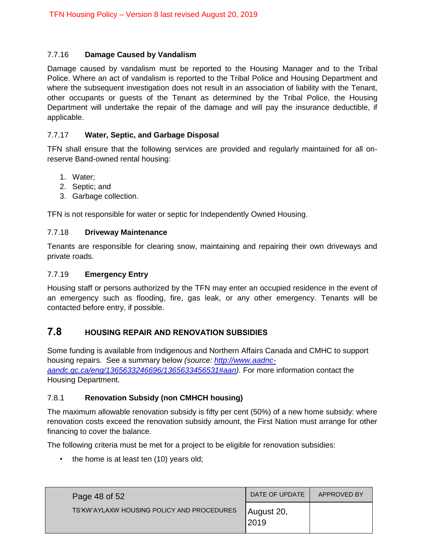# <span id="page-47-0"></span>7.7.16 **Damage Caused by Vandalism**

Damage caused by vandalism must be reported to the Housing Manager and to the Tribal Police. Where an act of vandalism is reported to the Tribal Police and Housing Department and where the subsequent investigation does not result in an association of liability with the Tenant, other occupants or guests of the Tenant as determined by the Tribal Police, the Housing Department will undertake the repair of the damage and will pay the insurance deductible, if applicable.

## <span id="page-47-1"></span>7.7.17 **Water, Septic, and Garbage Disposal**

TFN shall ensure that the following services are provided and regularly maintained for all onreserve Band-owned rental housing:

- 1. Water;
- 2. Septic; and
- 3. Garbage collection.

TFN is not responsible for water or septic for Independently Owned Housing.

### <span id="page-47-2"></span>7.7.18 **Driveway Maintenance**

Tenants are responsible for clearing snow, maintaining and repairing their own driveways and private roads.

# <span id="page-47-3"></span>7.7.19 **Emergency Entry**

Housing staff or persons authorized by the TFN may enter an occupied residence in the event of an emergency such as flooding, fire, gas leak, or any other emergency. Tenants will be contacted before entry, if possible.

# <span id="page-47-4"></span>**7.8 HOUSING REPAIR AND RENOVATION SUBSIDIES**

Some funding is available from Indigenous and Northern Affairs Canada and CMHC to support housing repairs. See a summary below *(source: [http://www.aadnc](http://www.aadnc-aandc.gc.ca/eng/1365633246696/1365633456531#aan)[aandc.gc.ca/eng/1365633246696/1365633456531#aan\)](http://www.aadnc-aandc.gc.ca/eng/1365633246696/1365633456531#aan).* For more information contact the Housing Department.

### <span id="page-47-5"></span>7.8.1 **Renovation Subsidy (non CMHCH housing)**

The maximum allowable renovation subsidy is fifty per cent (50%) of a new home subsidy: where renovation costs exceed the renovation subsidy amount, the First Nation must arrange for other financing to cover the balance.

The following criteria must be met for a project to be eligible for renovation subsidies:

• the home is at least ten (10) years old;

| Page 48 of 52                              | DATE OF UPDATE      | APPROVED BY |
|--------------------------------------------|---------------------|-------------|
| TS'KW'AYLAXW HOUSING POLICY AND PROCEDURES | August 20,<br>12019 |             |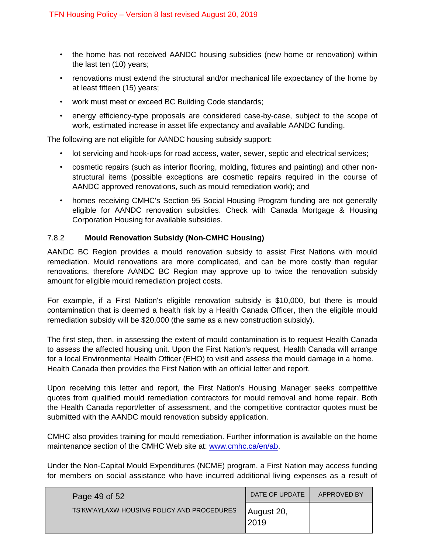- the home has not received AANDC housing subsidies (new home or renovation) within the last ten (10) years;
- renovations must extend the structural and/or mechanical life expectancy of the home by at least fifteen (15) years;
- work must meet or exceed BC Building Code standards;
- energy efficiency-type proposals are considered case-by-case, subject to the scope of work, estimated increase in asset life expectancy and available AANDC funding.

The following are not eligible for AANDC housing subsidy support:

- lot servicing and hook-ups for road access, water, sewer, septic and electrical services;
- cosmetic repairs (such as interior flooring, molding, fixtures and painting) and other nonstructural items (possible exceptions are cosmetic repairs required in the course of AANDC approved renovations, such as mould remediation work); and
- homes receiving CMHC's Section 95 Social Housing Program funding are not generally eligible for AANDC renovation subsidies. Check with Canada Mortgage & Housing Corporation Housing for available subsidies.

# <span id="page-48-0"></span>7.8.2 **Mould Renovation Subsidy (Non-CMHC Housing)**

AANDC BC Region provides a mould renovation subsidy to assist First Nations with mould remediation. Mould renovations are more complicated, and can be more costly than regular renovations, therefore AANDC BC Region may approve up to twice the renovation subsidy amount for eligible mould remediation project costs.

For example, if a First Nation's eligible renovation subsidy is \$10,000, but there is mould contamination that is deemed a health risk by a Health Canada Officer, then the eligible mould remediation subsidy will be \$20,000 (the same as a new construction subsidy).

The first step, then, in assessing the extent of mould contamination is to request Health Canada to assess the affected housing unit. Upon the First Nation's request, Health Canada will arrange for a local Environmental Health Officer (EHO) to visit and assess the mould damage in a home. Health Canada then provides the First Nation with an official letter and report.

Upon receiving this letter and report, the First Nation's Housing Manager seeks competitive quotes from qualified mould remediation contractors for mould removal and home repair. Both the Health Canada report/letter of assessment, and the competitive contractor quotes must be submitted with the AANDC mould renovation subsidy application.

CMHC also provides training for mould remediation. Further information is available on the home maintenance section of the CMHC Web site at: [www.cmhc.ca/en/ab.](http://www.cmhc.ca/en/ab)

Under the Non-Capital Mould Expenditures (NCME) program, a First Nation may access funding for members on social assistance who have incurred additional living expenses as a result of

| Page 49 of $521$                           | DATE OF UPDATE     | APPROVED BY |
|--------------------------------------------|--------------------|-------------|
| TS'KW'AYLAXW HOUSING POLICY AND PROCEDURES | August 20,<br>2019 |             |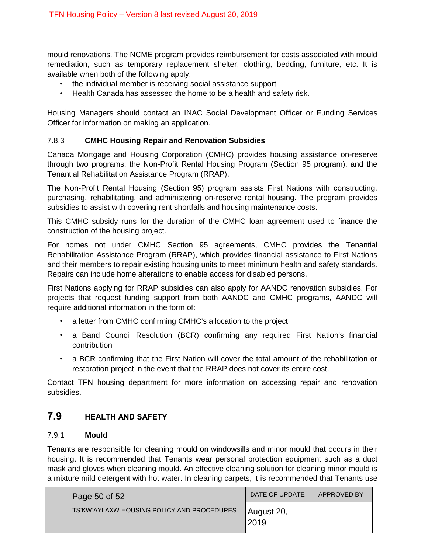mould renovations. The NCME program provides reimbursement for costs associated with mould remediation, such as temporary replacement shelter, clothing, bedding, furniture, etc. It is available when both of the following apply:

- the individual member is receiving social assistance support
- Health Canada has assessed the home to be a health and safety risk.

Housing Managers should contact an INAC Social Development Officer or Funding Services Officer for information on making an application.

# <span id="page-49-0"></span>7.8.3 **CMHC Housing Repair and Renovation Subsidies**

Canada Mortgage and Housing Corporation (CMHC) provides housing assistance on-reserve through two programs: the Non-Profit Rental Housing Program (Section 95 program), and the Tenantial Rehabilitation Assistance Program (RRAP).

The Non-Profit Rental Housing (Section 95) program assists First Nations with constructing, purchasing, rehabilitating, and administering on-reserve rental housing. The program provides subsidies to assist with covering rent shortfalls and housing maintenance costs.

This CMHC subsidy runs for the duration of the CMHC loan agreement used to finance the construction of the housing project.

For homes not under CMHC Section 95 agreements, CMHC provides the Tenantial Rehabilitation Assistance Program (RRAP), which provides financial assistance to First Nations and their members to repair existing housing units to meet minimum health and safety standards. Repairs can include home alterations to enable access for disabled persons.

First Nations applying for RRAP subsidies can also apply for AANDC renovation subsidies. For projects that request funding support from both AANDC and CMHC programs, AANDC will require additional information in the form of:

- a letter from CMHC confirming CMHC's allocation to the project
- a Band Council Resolution (BCR) confirming any required First Nation's financial contribution
- a BCR confirming that the First Nation will cover the total amount of the rehabilitation or restoration project in the event that the RRAP does not cover its entire cost.

Contact TFN housing department for more information on accessing repair and renovation subsidies.

# <span id="page-49-1"></span>**7.9 HEALTH AND SAFETY**

### <span id="page-49-2"></span>7.9.1 **Mould**

Tenants are responsible for cleaning mould on windowsills and minor mould that occurs in their housing. It is recommended that Tenants wear personal protection equipment such as a duct mask and gloves when cleaning mould. An effective cleaning solution for cleaning minor mould is a mixture mild detergent with hot water. In cleaning carpets, it is recommended that Tenants use

| Page 50 of $521$                           | DATE OF UPDATE      | APPROVED BY |
|--------------------------------------------|---------------------|-------------|
| TS'KW'AYLAXW HOUSING POLICY AND PROCEDURES | August 20,<br>'2019 |             |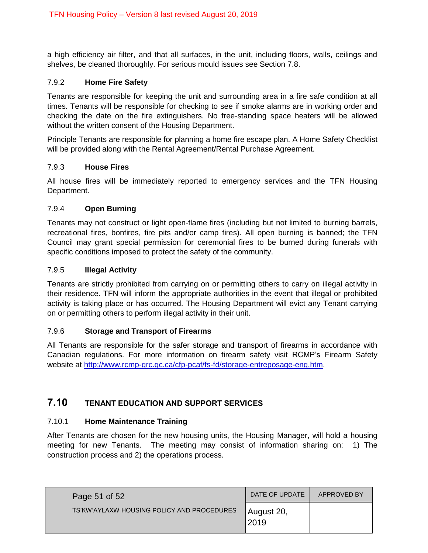a high efficiency air filter, and that all surfaces, in the unit, including floors, walls, ceilings and shelves, be cleaned thoroughly. For serious mould issues see Section 7.8.

# <span id="page-50-0"></span>7.9.2 **Home Fire Safety**

Tenants are responsible for keeping the unit and surrounding area in a fire safe condition at all times. Tenants will be responsible for checking to see if smoke alarms are in working order and checking the date on the fire extinguishers. No free-standing space heaters will be allowed without the written consent of the Housing Department.

Principle Tenants are responsible for planning a home fire escape plan. A Home Safety Checklist will be provided along with the Rental Agreement/Rental Purchase Agreement.

### <span id="page-50-1"></span>7.9.3 **House Fires**

All house fires will be immediately reported to emergency services and the TFN Housing Department.

# <span id="page-50-2"></span>7.9.4 **Open Burning**

Tenants may not construct or light open-flame fires (including but not limited to burning barrels, recreational fires, bonfires, fire pits and/or camp fires). All open burning is banned; the TFN Council may grant special permission for ceremonial fires to be burned during funerals with specific conditions imposed to protect the safety of the community.

### <span id="page-50-3"></span>7.9.5 **Illegal Activity**

Tenants are strictly prohibited from carrying on or permitting others to carry on illegal activity in their residence. TFN will inform the appropriate authorities in the event that illegal or prohibited activity is taking place or has occurred. The Housing Department will evict any Tenant carrying on or permitting others to perform illegal activity in their unit.

### <span id="page-50-4"></span>7.9.6 **Storage and Transport of Firearms**

All Tenants are responsible for the safer storage and transport of firearms in accordance with Canadian regulations. For more information on firearm safety visit RCMP's Firearm Safety website at [http://www.rcmp-grc.gc.ca/cfp-pcaf/fs-fd/storage-entreposage-eng.htm.](http://www.rcmp-grc.gc.ca/cfp-pcaf/fs-fd/storage-entreposage-eng.htm)

# <span id="page-50-5"></span>**7.10 TENANT EDUCATION AND SUPPORT SERVICES**

### <span id="page-50-6"></span>7.10.1 **Home Maintenance Training**

After Tenants are chosen for the new housing units, the Housing Manager, will hold a housing meeting for new Tenants. The meeting may consist of information sharing on: 1) The construction process and 2) the operations process.

| Page 51 of 52                              | DATE OF UPDATE      | APPROVED BY |
|--------------------------------------------|---------------------|-------------|
| TS'KW'AYLAXW HOUSING POLICY AND PROCEDURES | August 20,<br> 2019 |             |